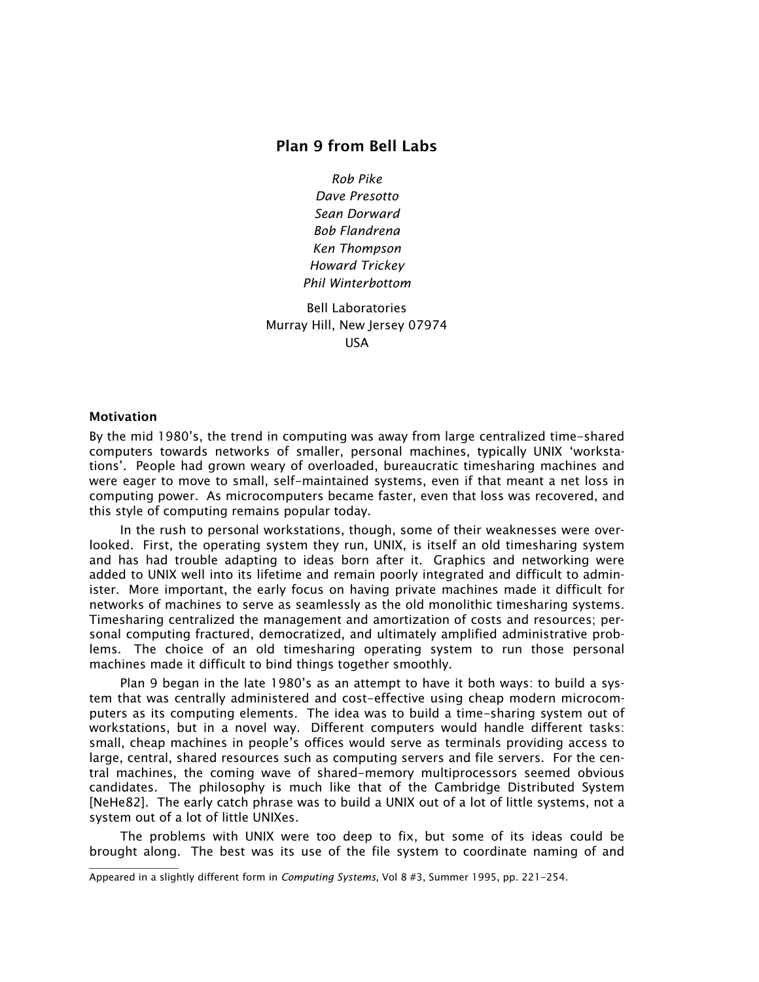# **Plan 9 from Bell Labs**

*Rob Pike Dave Presotto Sean Dorward Bob Flandrena Ken Thompson Howard Trickey Phil Winterbottom*

Bell Laboratories Murray Hill, New Jersey 07974 USA

## **Motivation**

By the mid 1980's, the trend in computing was away from large centralized time-shared computers towards networks of smaller, personal machines, typically UNIX 'workstations'. People had grown weary of overloaded, bureaucratic timesharing machines and were eager to move to small, self-maintained systems, even if that meant a net loss in computing power. As microcomputers became faster, even that loss was recovered, and this style of computing remains popular today.

In the rush to personal workstations, though, some of their weaknesses were overlooked. First, the operating system they run, UNIX, is itself an old timesharing system and has had trouble adapting to ideas born after it. Graphics and networking were added to UNIX well into its lifetime and remain poorly integrated and difficult to administer. More important, the early focus on having private machines made it difficult for networks of machines to serve as seamlessly as the old monolithic timesharing systems. Timesharing centralized the management and amortization of costs and resources; personal computing fractured, democratized, and ultimately amplified administrative problems. The choice of an old timesharing operating system to run those personal machines made it difficult to bind things together smoothly.

Plan 9 began in the late 1980's as an attempt to have it both ways: to build a system that was centrally administered and cost-effective using cheap modern microcomputers as its computing elements. The idea was to build a time-sharing system out of workstations, but in a novel way. Different computers would handle different tasks: small, cheap machines in people's offices would serve as terminals providing access to large, central, shared resources such as computing servers and file servers. For the central machines, the coming wave of shared-memory multiprocessors seemed obvious candidates. The philosophy is much like that of the Cambridge Distributed System [NeHe82]. The early catch phrase was to build a UNIX out of a lot of little systems, not a system out of a lot of little UNIXes.

The problems with UNIX were too deep to fix, but some of its ideas could be brought along. The best was its use of the file system to coordinate naming of and  $\_$ 

Appeared in a slightly different form in *Computing Systems,* Vol 8 #3, Summer 1995, pp. 221-254.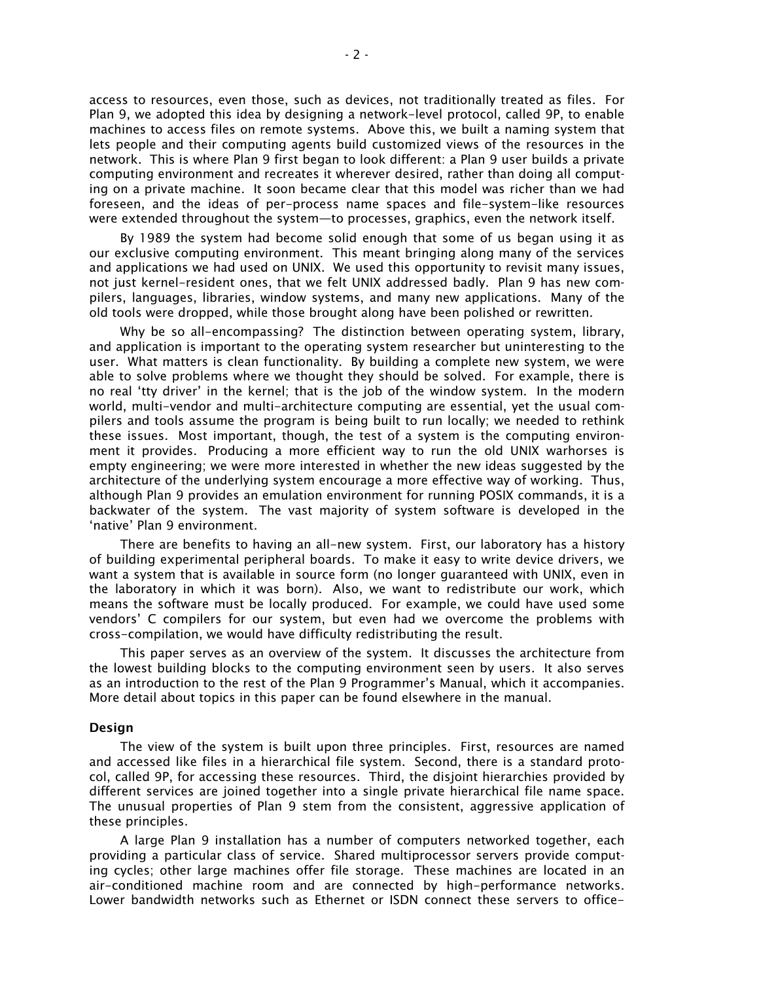access to resources, even those, such as devices, not traditionally treated as files. For Plan 9, we adopted this idea by designing a network-level protocol, called 9P, to enable machines to access files on remote systems. Above this, we built a naming system that lets people and their computing agents build customized views of the resources in the network. This is where Plan 9 first began to look different: a Plan 9 user builds a private computing environment and recreates it wherever desired, rather than doing all computing on a private machine. It soon became clear that this model was richer than we had foreseen, and the ideas of per-process name spaces and file-system-like resources were extended throughout the system-to processes, graphics, even the network itself.

By 1989 the system had become solid enough that some of us began using it as our exclusive computing environment. This meant bringing along many of the services and applications we had used on UNIX. We used this opportunity to revisit many issues, not just kernel-resident ones, that we felt UNIX addressed badly. Plan 9 has new compilers, languages, libraries, window systems, and many new applications. Many of the old tools were dropped, while those brought along have been polished or rewritten.

Why be so all-encompassing? The distinction between operating system, library, and application is important to the operating system researcher but uninteresting to the user. What matters is clean functionality. By building a complete new system, we were able to solve problems where we thought they should be solved. For example, there is no real 'tty driver' in the kernel; that is the job of the window system. In the modern world, multi-vendor and multi-architecture computing are essential, yet the usual compilers and tools assume the program is being built to run locally; we needed to rethink these issues. Most important, though, the test of a system is the computing environment it provides. Producing a more efficient way to run the old UNIX warhorses is empty engineering; we were more interested in whether the new ideas suggested by the architecture of the underlying system encourage a more effective way of working. Thus, although Plan 9 provides an emulation environment for running POSIX commands, it is a backwater of the system. The vast majority of system software is developed in the 'native' Plan 9 environment.

There are benefits to having an all-new system. First, our laboratory has a history of building experimental peripheral boards. To make it easy to write device drivers, we want a system that is available in source form (no longer guaranteed with UNIX, even in the laboratory in which it was born). Also, we want to redistribute our work, which means the software must be locally produced. For example, we could have used some vendors' C compilers for our system, but even had we overcome the problems with cross-compilation, we would have difficulty redistributing the result.

This paper serves as an overview of the system. It discusses the architecture from the lowest building blocks to the computing environment seen by users. It also serves as an introduction to the rest of the Plan 9 Programmer's Manual, which it accompanies. More detail about topics in this paper can be found elsewhere in the manual.

#### **Design**

The view of the system is built upon three principles. First, resources are named and accessed like files in a hierarchical file system. Second, there is a standard protocol, called 9P, for accessing these resources. Third, the disjoint hierarchies provided by different services are joined together into a single private hierarchical file name space. The unusual properties of Plan 9 stem from the consistent, aggressive application of these principles.

A large Plan 9 installation has a number of computers networked together, each providing a particular class of service. Shared multiprocessor servers provide computing cycles; other large machines offer file storage. These machines are located in an air-conditioned machine room and are connected by high-performance networks. Lower bandwidth networks such as Ethernet or ISDN connect these servers to office-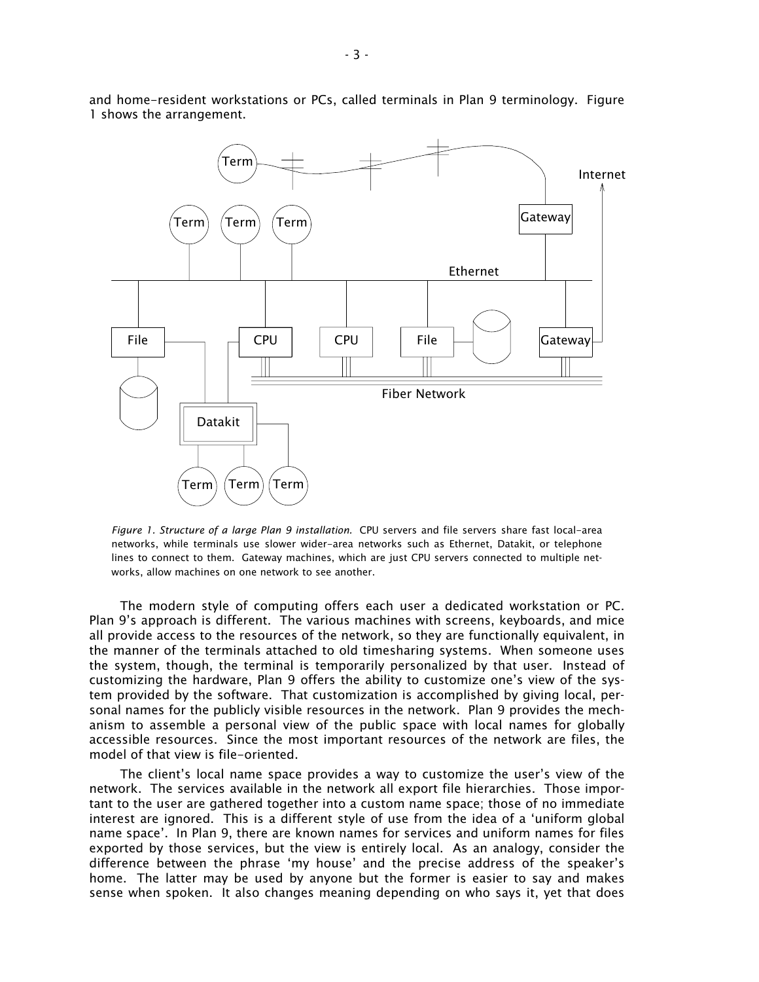

and home-resident workstations or PCs, called terminals in Plan 9 terminology. Figure 1 shows the arrangement.

*Figure 1. Structure of a large Plan 9 installation.* CPU servers and file servers share fast local-area networks, while terminals use slower wider-area networks such as Ethernet, Datakit, or telephone lines to connect to them. Gateway machines, which are just CPU servers connected to multiple networks, allow machines on one network to see another.

The modern style of computing offers each user a dedicated workstation or PC. Plan 9's approach is different. The various machines with screens, keyboards, and mice all provide access to the resources of the network, so they are functionally equivalent, in the manner of the terminals attached to old timesharing systems. When someone uses the system, though, the terminal is temporarily personalized by that user. Instead of customizing the hardware, Plan 9 offers the ability to customize one's view of the system provided by the software. That customization is accomplished by giving local, personal names for the publicly visible resources in the network. Plan 9 provides the mechanism to assemble a personal view of the public space with local names for globally accessible resources. Since the most important resources of the network are files, the model of that view is file-oriented.

The client's local name space provides a way to customize the user's view of the network. The services available in the network all export file hierarchies. Those important to the user are gathered together into a custom name space; those of no immediate interest are ignored. This is a different style of use from the idea of a 'uniform global name space'. In Plan 9, there are known names for services and uniform names for files exported by those services, but the view is entirely local. As an analogy, consider the difference between the phrase 'my house' and the precise address of the speaker's home. The latter may be used by anyone but the former is easier to say and makes sense when spoken. It also changes meaning depending on who says it, yet that does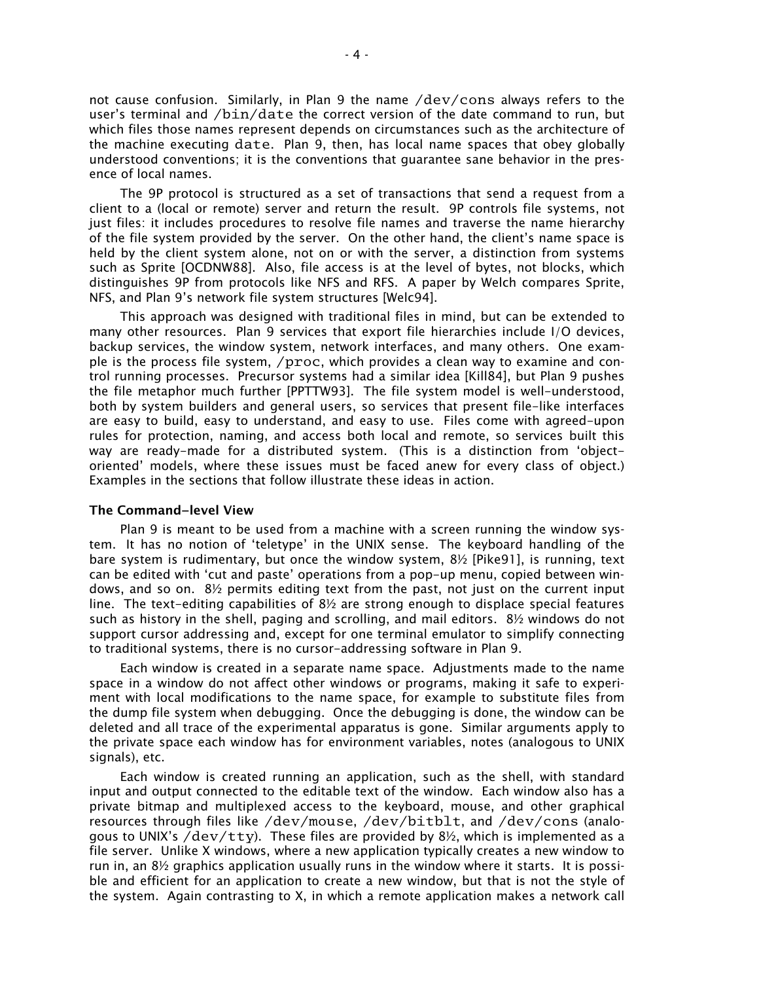not cause confusion. Similarly, in Plan 9 the name /dev/cons always refers to the user's terminal and  $/bin/date$  the correct version of the date command to run, but which files those names represent depends on circumstances such as the architecture of the machine executing date. Plan 9, then, has local name spaces that obey globally understood conventions; it is the conventions that guarantee sane behavior in the presence of local names.

The 9P protocol is structured as a set of transactions that send a request from a client to a (local or remote) server and return the result. 9P controls file systems, not just files: it includes procedures to resolve file names and traverse the name hierarchy of the file system provided by the server. On the other hand, the client's name space is held by the client system alone, not on or with the server, a distinction from systems such as Sprite [OCDNW88]. Also, file access is at the level of bytes, not blocks, which distinguishes 9P from protocols like NFS and RFS. A paper by Welch compares Sprite, NFS, and Plan 9's network file system structures [Welc94].

This approach was designed with traditional files in mind, but can be extended to many other resources. Plan 9 services that export file hierarchies include I/O devices, backup services, the window system, network interfaces, and many others. One example is the process file system,  $/proc$ , which provides a clean way to examine and control running processes. Precursor systems had a similar idea [Kill84], but Plan 9 pushes the file metaphor much further [PPTTW93]. The file system model is well-understood, both by system builders and general users, so services that present file-like interfaces are easy to build, easy to understand, and easy to use. Files come with agreed-upon rules for protection, naming, and access both local and remote, so services built this way are ready-made for a distributed system. (This is a distinction from 'objectoriented' models, where these issues must be faced anew for every class of object.) Examples in the sections that follow illustrate these ideas in action.

### **The Command−level View**

Plan 9 is meant to be used from a machine with a screen running the window system. It has no notion of 'teletype' in the UNIX sense. The keyboard handling of the bare system is rudimentary, but once the window system, 8½ [Pike91], is running, text can be edited with 'cut and paste' operations from a pop-up menu, copied between windows, and so on. 8½ permits editing text from the past, not just on the current input line. The text-editing capabilities of  $8\frac{1}{2}$  are strong enough to displace special features such as history in the shell, paging and scrolling, and mail editors. 8½ windows do not support cursor addressing and, except for one terminal emulator to simplify connecting to traditional systems, there is no cursor-addressing software in Plan 9.

Each window is created in a separate name space. Adjustments made to the name space in a window do not affect other windows or programs, making it safe to experiment with local modifications to the name space, for example to substitute files from the dump file system when debugging. Once the debugging is done, the window can be deleted and all trace of the experimental apparatus is gone. Similar arguments apply to the private space each window has for environment variables, notes (analogous to UNIX signals), etc.

Each window is created running an application, such as the shell, with standard input and output connected to the editable text of the window. Each window also has a private bitmap and multiplexed access to the keyboard, mouse, and other graphical resources through files like /dev/mouse, /dev/bitblt, and /dev/cons (analogous to UNIX's /dev/tty). These files are provided by 8½, which is implemented as a file server. Unlike X windows, where a new application typically creates a new window to run in, an 8½ graphics application usually runs in the window where it starts. It is possible and efficient for an application to create a new window, but that is not the style of the system. Again contrasting to X, in which a remote application makes a network call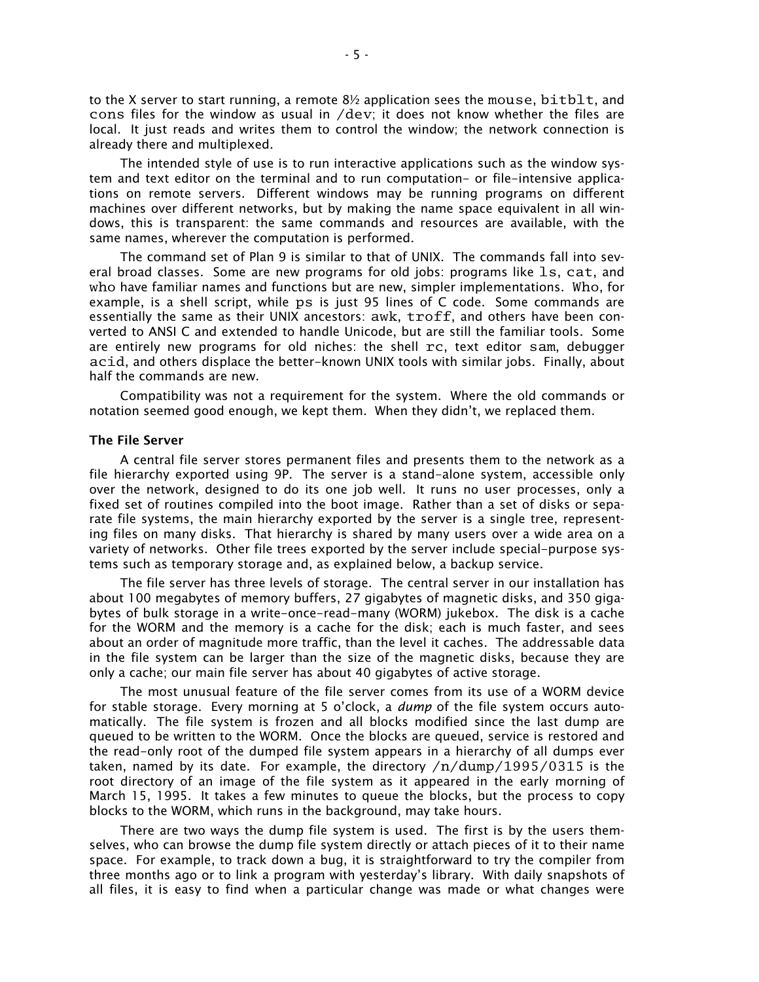to the X server to start running, a remote  $8\frac{1}{2}$  application sees the mouse, bitblt, and cons files for the window as usual in /dev; it does not know whether the files are local. It just reads and writes them to control the window; the network connection is already there and multiplexed.

The intended style of use is to run interactive applications such as the window system and text editor on the terminal and to run computation- or file-intensive applications on remote servers. Different windows may be running programs on different machines over different networks, but by making the name space equivalent in all windows, this is transparent: the same commands and resources are available, with the same names, wherever the computation is performed.

The command set of Plan 9 is similar to that of UNIX. The commands fall into several broad classes. Some are new programs for old jobs: programs like ls, cat, and who have familiar names and functions but are new, simpler implementations. Who, for example, is a shell script, while ps is just 95 lines of C code. Some commands are essentially the same as their UNIX ancestors: awk, troff, and others have been converted to ANSI C and extended to handle Unicode, but are still the familiar tools. Some are entirely new programs for old niches: the shell rc, text editor sam, debugger acid, and others displace the better-known UNIX tools with similar jobs. Finally, about half the commands are new.

Compatibility was not a requirement for the system. Where the old commands or notation seemed good enough, we kept them. When they didn't, we replaced them.

## **The File Server**

A central file server stores permanent files and presents them to the network as a file hierarchy exported using 9P. The server is a stand-alone system, accessible only over the network, designed to do its one job well. It runs no user processes, only a fixed set of routines compiled into the boot image. Rather than a set of disks or separate file systems, the main hierarchy exported by the server is a single tree, representing files on many disks. That hierarchy is shared by many users over a wide area on a variety of networks. Other file trees exported by the server include special-purpose systems such as temporary storage and, as explained below, a backup service.

The file server has three levels of storage. The central server in our installation has about 100 megabytes of memory buffers, 27 gigabytes of magnetic disks, and 350 gigabytes of bulk storage in a write-once-read-many (WORM) jukebox. The disk is a cache for the WORM and the memory is a cache for the disk; each is much faster, and sees about an order of magnitude more traffic, than the level it caches. The addressable data in the file system can be larger than the size of the magnetic disks, because they are only a cache; our main file server has about 40 gigabytes of active storage.

The most unusual feature of the file server comes from its use of a WORM device for stable storage. Every morning at 5 o'clock, a *dump* of the file system occurs automatically. The file system is frozen and all blocks modified since the last dump are queued to be written to the WORM. Once the blocks are queued, service is restored and the read-only root of the dumped file system appears in a hierarchy of all dumps ever taken, named by its date. For example, the directory  $/n/dump/1995/0315$  is the root directory of an image of the file system as it appeared in the early morning of March 15, 1995. It takes a few minutes to queue the blocks, but the process to copy blocks to the WORM, which runs in the background, may take hours.

There are two ways the dump file system is used. The first is by the users themselves, who can browse the dump file system directly or attach pieces of it to their name space. For example, to track down a bug, it is straightforward to try the compiler from three months ago or to link a program with yesterday's library. With daily snapshots of all files, it is easy to find when a particular change was made or what changes were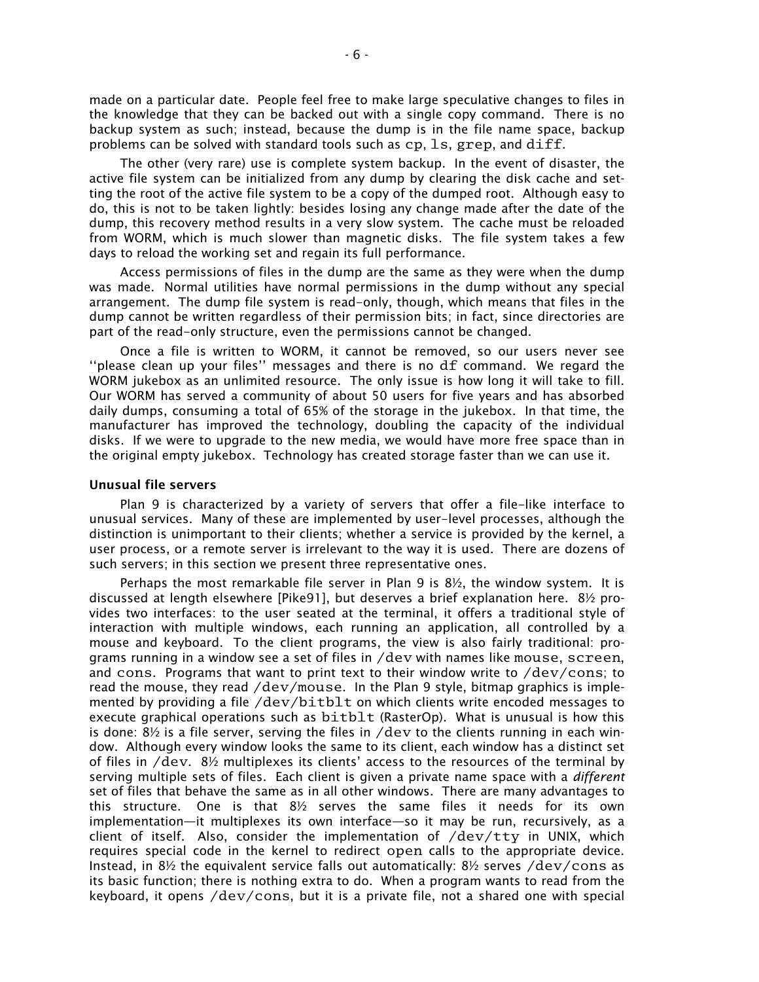made on a particular date. People feel free to make large speculative changes to files in the knowledge that they can be backed out with a single copy command. There is no backup system as such; instead, because the dump is in the file name space, backup problems can be solved with standard tools such as  $cp, 1s, green, and diff.$ 

The other (very rare) use is complete system backup. In the event of disaster, the active file system can be initialized from any dump by clearing the disk cache and setting the root of the active file system to be a copy of the dumped root. Although easy to do, this is not to be taken lightly: besides losing any change made after the date of the dump, this recovery method results in a very slow system. The cache must be reloaded from WORM, which is much slower than magnetic disks. The file system takes a few days to reload the working set and regain its full performance.

Access permissions of files in the dump are the same as they were when the dump was made. Normal utilities have normal permissions in the dump without any special arrangement. The dump file system is read-only, though, which means that files in the dump cannot be written regardless of their permission bits; in fact, since directories are part of the read-only structure, even the permissions cannot be changed.

Once a file is written to WORM, it cannot be removed, so our users never see "please clean up your files" messages and there is no  $df$  command. We regard the WORM jukebox as an unlimited resource. The only issue is how long it will take to fill. Our WORM has served a community of about 50 users for five years and has absorbed daily dumps, consuming a total of 65% of the storage in the jukebox. In that time, the manufacturer has improved the technology, doubling the capacity of the individual disks. If we were to upgrade to the new media, we would have more free space than in the original empty jukebox. Technology has created storage faster than we can use it.

# **Unusual file servers**

Plan 9 is characterized by a variety of servers that offer a file-like interface to unusual services. Many of these are implemented by user-level processes, although the distinction is unimportant to their clients; whether a service is provided by the kernel, a user process, or a remote server is irrelevant to the way it is used. There are dozens of such servers; in this section we present three representative ones.

Perhaps the most remarkable file server in Plan 9 is  $8\frac{1}{2}$ , the window system. It is discussed at length elsewhere [Pike91], but deserves a brief explanation here. 8½ provides two interfaces: to the user seated at the terminal, it offers a traditional style of interaction with multiple windows, each running an application, all controlled by a mouse and keyboard. To the client programs, the view is also fairly traditional: programs running in a window see a set of files in /dev with names like mouse, screen, and cons. Programs that want to print text to their window write to  $/dev/cons$ ; to read the mouse, they read  $/dev/mouse$ . In the Plan 9 style, bitmap graphics is implemented by providing a file /dev/bitblt on which clients write encoded messages to execute graphical operations such as bitblt (RasterOp). What is unusual is how this is done:  $8\frac{1}{2}$  is a file server, serving the files in /dev to the clients running in each window. Although every window looks the same to its client, each window has a distinct set of files in  $/$ dev.  $8\frac{1}{2}$  multiplexes its clients' access to the resources of the terminal by serving multiple sets of files. Each client is given a private name space with a *different* set of files that behave the same as in all other windows. There are many advantages to this structure. One is that 8½ serves the same files it needs for its own implementation—it multiplexes its own interface—so it may be run, recursively, as a client of itself. Also, consider the implementation of /dev/tty in UNIX, which requires special code in the kernel to redirect open calls to the appropriate device. Instead, in  $8\frac{1}{2}$  the equivalent service falls out automatically:  $8\frac{1}{2}$  serves /dev/cons as its basic function; there is nothing extra to do. When a program wants to read from the keyboard, it opens /dev/cons, but it is a private file, not a shared one with special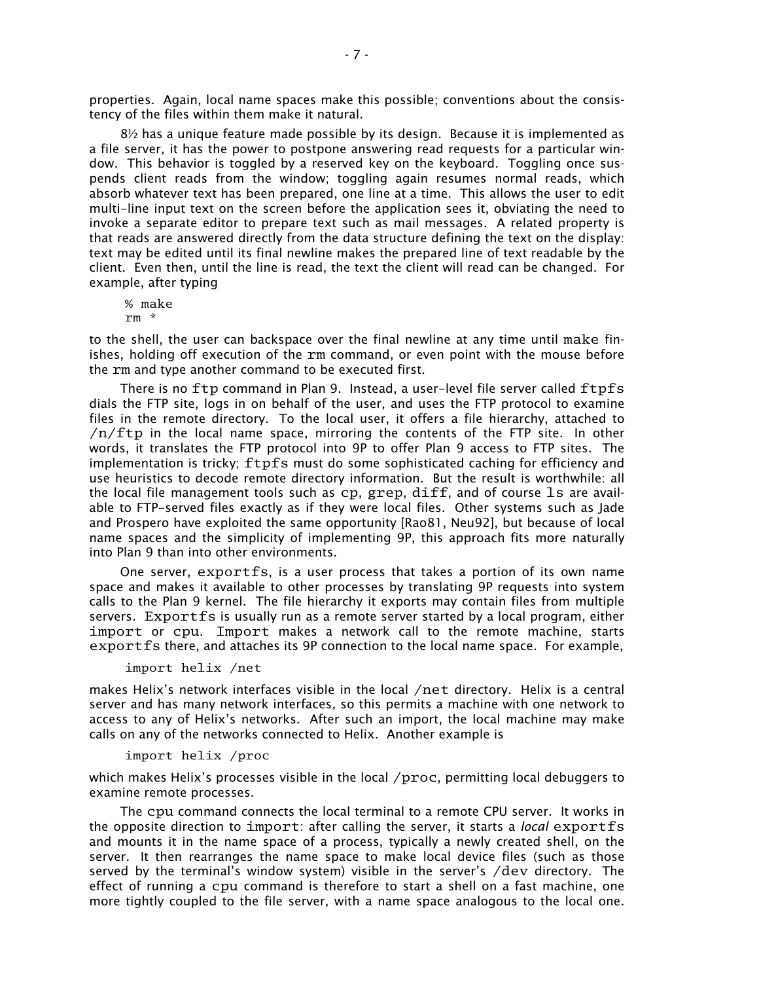properties. Again, local name spaces make this possible; conventions about the consistency of the files within them make it natural.

 $8\frac{1}{2}$  has a unique feature made possible by its design. Because it is implemented as a file server, it has the power to postpone answering read requests for a particular window. This behavior is toggled by a reserved key on the keyboard. Toggling once suspends client reads from the window; toggling again resumes normal reads, which absorb whatever text has been prepared, one line at a time. This allows the user to edit multi-line input text on the screen before the application sees it, obviating the need to invoke a separate editor to prepare text such as mail messages. A related property is that reads are answered directly from the data structure defining the text on the display: text may be edited until its final newline makes the prepared line of text readable by the client. Even then, until the line is read, the text the client will read can be changed. For example, after typing

% make rm \*

to the shell, the user can backspace over the final newline at any time until make finishes, holding off execution of the rm command, or even point with the mouse before the rm and type another command to be executed first.

There is no ftp command in Plan 9. Instead, a user-level file server called ftpfs dials the FTP site, logs in on behalf of the user, and uses the FTP protocol to examine files in the remote directory. To the local user, it offers a file hierarchy, attached to /n/ftp in the local name space, mirroring the contents of the FTP site. In other words, it translates the FTP protocol into 9P to offer Plan 9 access to FTP sites. The implementation is tricky; ftpfs must do some sophisticated caching for efficiency and use heuristics to decode remote directory information. But the result is worthwhile: all the local file management tools such as cp, grep, diff, and of course ls are available to FTP-served files exactly as if they were local files. Other systems such as Jade and Prospero have exploited the same opportunity [Rao81, Neu92], but because of local name spaces and the simplicity of implementing 9P, this approach fits more naturally into Plan 9 than into other environments.

One server, exportfs, is a user process that takes a portion of its own name space and makes it available to other processes by translating 9P requests into system calls to the Plan 9 kernel. The file hierarchy it exports may contain files from multiple servers. Exportfs is usually run as a remote server started by a local program, either import or cpu. Import makes a network call to the remote machine, starts exportfs there, and attaches its 9P connection to the local name space. For example,

import helix /net

makes Helix's network interfaces visible in the local /net directory. Helix is a central server and has many network interfaces, so this permits a machine with one network to access to any of Helix's networks. After such an import, the local machine may make calls on any of the networks connected to Helix. Another example is

import helix /proc

which makes Helix's processes visible in the local  $/$ proc, permitting local debuggers to examine remote processes.

The cpu command connects the local terminal to a remote CPU server. It works in the opposite direction to import: after calling the server, it starts a *local* exportfs and mounts it in the name space of a process, typically a newly created shell, on the server. It then rearranges the name space to make local device files (such as those served by the terminal's window system) visible in the server's  $/$ dev directory. The effect of running a cpu command is therefore to start a shell on a fast machine, one more tightly coupled to the file server, with a name space analogous to the local one.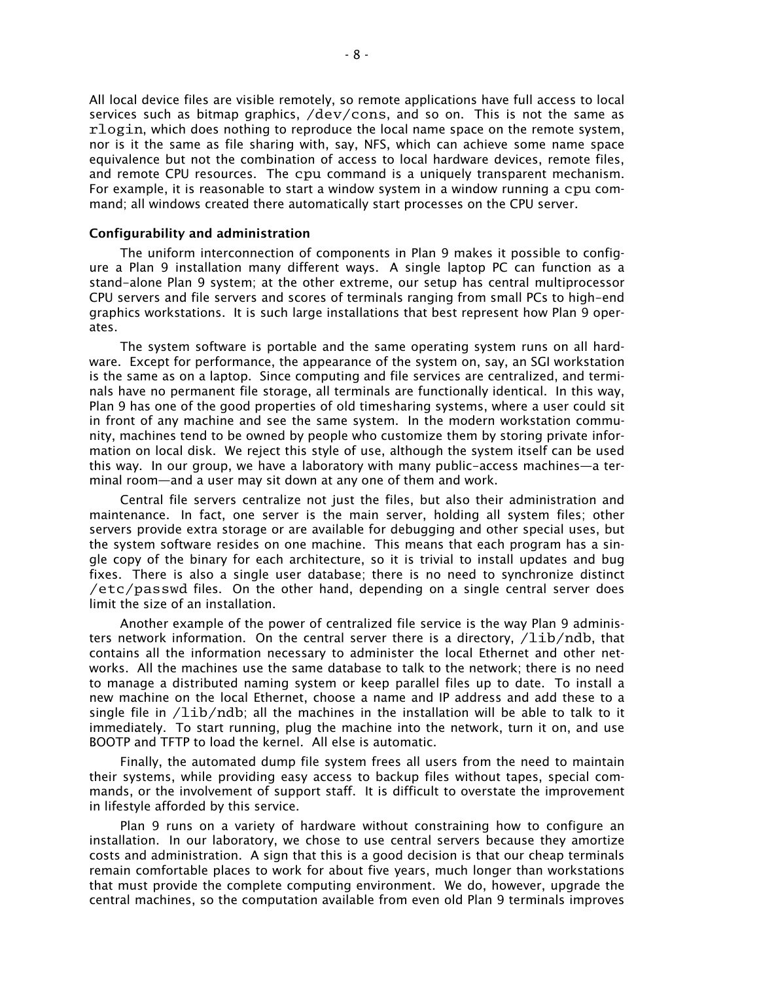All local device files are visible remotely, so remote applications have full access to local services such as bitmap graphics, /dev/cons, and so on. This is not the same as rlogin, which does nothing to reproduce the local name space on the remote system, nor is it the same as file sharing with, say, NFS, which can achieve some name space equivalence but not the combination of access to local hardware devices, remote files, and remote CPU resources. The cpu command is a uniquely transparent mechanism. For example, it is reasonable to start a window system in a window running a cpu command; all windows created there automatically start processes on the CPU server.

## **Configurability and administration**

The uniform interconnection of components in Plan 9 makes it possible to configure a Plan 9 installation many different ways. A single laptop PC can function as a stand-alone Plan 9 system; at the other extreme, our setup has central multiprocessor CPU servers and file servers and scores of terminals ranging from small PCs to high-end graphics workstations. It is such large installations that best represent how Plan 9 operates.

The system software is portable and the same operating system runs on all hardware. Except for performance, the appearance of the system on, say, an SGI workstation is the same as on a laptop. Since computing and file services are centralized, and terminals have no permanent file storage, all terminals are functionally identical. In this way, Plan 9 has one of the good properties of old timesharing systems, where a user could sit in front of any machine and see the same system. In the modern workstation community, machines tend to be owned by people who customize them by storing private information on local disk. We reject this style of use, although the system itself can be used this way. In our group, we have a laboratory with many public-access machines—a terminal room—and a user may sit down at any one of them and work.

Central file servers centralize not just the files, but also their administration and maintenance. In fact, one server is the main server, holding all system files; other servers provide extra storage or are available for debugging and other special uses, but the system software resides on one machine. This means that each program has a single copy of the binary for each architecture, so it is trivial to install updates and bug fixes. There is also a single user database; there is no need to synchronize distinct /etc/passwd files. On the other hand, depending on a single central server does limit the size of an installation.

Another example of the power of centralized file service is the way Plan 9 administers network information. On the central server there is a directory,  $\Delta_{\text{lib}}$  and that contains all the information necessary to administer the local Ethernet and other networks. All the machines use the same database to talk to the network; there is no need to manage a distributed naming system or keep parallel files up to date. To install a new machine on the local Ethernet, choose a name and IP address and add these to a single file in  $\text{/lib/ndb}$ ; all the machines in the installation will be able to talk to it immediately. To start running, plug the machine into the network, turn it on, and use BOOTP and TFTP to load the kernel. All else is automatic.

Finally, the automated dump file system frees all users from the need to maintain their systems, while providing easy access to backup files without tapes, special commands, or the involvement of support staff. It is difficult to overstate the improvement in lifestyle afforded by this service.

Plan 9 runs on a variety of hardware without constraining how to configure an installation. In our laboratory, we chose to use central servers because they amortize costs and administration. A sign that this is a good decision is that our cheap terminals remain comfortable places to work for about five years, much longer than workstations that must provide the complete computing environment. We do, however, upgrade the central machines, so the computation available from even old Plan 9 terminals improves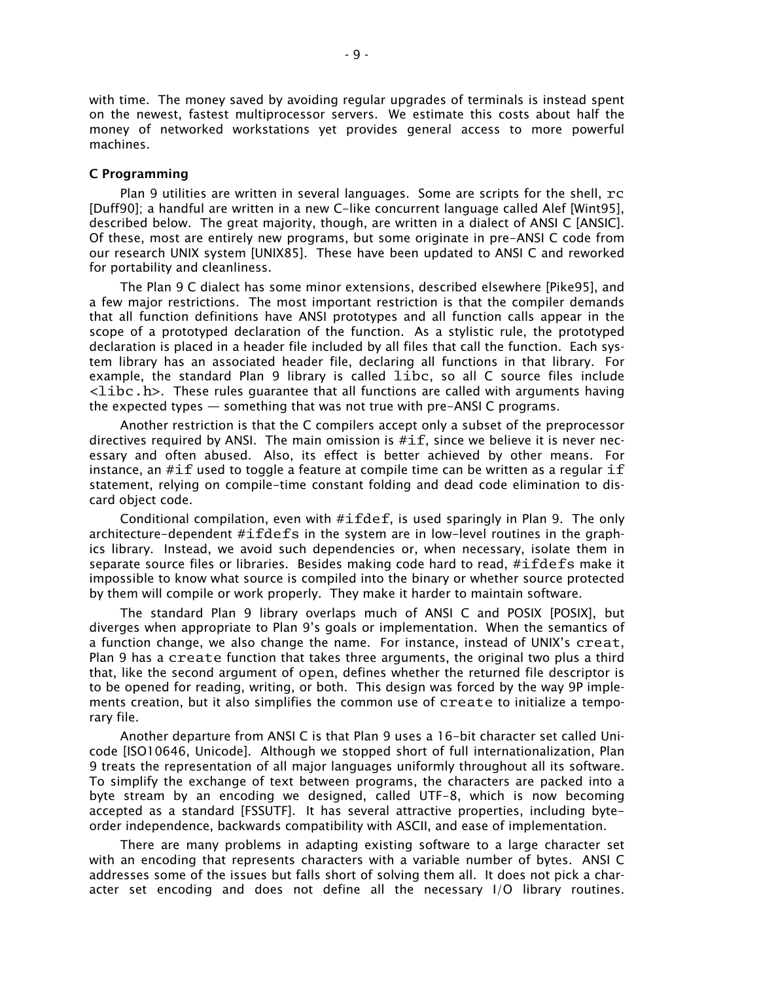with time. The money saved by avoiding regular upgrades of terminals is instead spent on the newest, fastest multiprocessor servers. We estimate this costs about half the money of networked workstations yet provides general access to more powerful machines.

#### **C Programming**

Plan 9 utilities are written in several languages. Some are scripts for the shell, rc [Duff90]; a handful are written in a new C-like concurrent language called Alef [Wint95], described below. The great majority, though, are written in a dialect of ANSI C [ANSIC]. Of these, most are entirely new programs, but some originate in pre-ANSI C code from our research UNIX system [UNIX85]. These have been updated to ANSI C and reworked for portability and cleanliness.

The Plan 9 C dialect has some minor extensions, described elsewhere [Pike95], and a few major restrictions. The most important restriction is that the compiler demands that all function definitions have ANSI prototypes and all function calls appear in the scope of a prototyped declaration of the function. As a stylistic rule, the prototyped declaration is placed in a header file included by all files that call the function. Each system library has an associated header file, declaring all functions in that library. For example, the standard Plan 9 library is called libc, so all C source files include  $\langle$ libc.h>. These rules guarantee that all functions are called with arguments having the expected types  $-$  something that was not true with pre-ANSI C programs.

Another restriction is that the C compilers accept only a subset of the preprocessor directives required by ANSI. The main omission is  $\#\texttt{if}$ , since we believe it is never necessary and often abused. Also, its effect is better achieved by other means. For instance, an  $\#\texttt{if}$  used to toggle a feature at compile time can be written as a regular  $\texttt{if}$ statement, relying on compile-time constant folding and dead code elimination to discard object code.

Conditional compilation, even with #ifdef, is used sparingly in Plan 9. The only architecture-dependent  $\# \text{if} \text{defs}$  in the system are in low-level routines in the graphics library. Instead, we avoid such dependencies or, when necessary, isolate them in separate source files or libraries. Besides making code hard to read, #ifdefs make it impossible to know what source is compiled into the binary or whether source protected by them will compile or work properly. They make it harder to maintain software.

The standard Plan 9 library overlaps much of ANSI C and POSIX [POSIX], but diverges when appropriate to Plan 9's goals or implementation. When the semantics of a function change, we also change the name. For instance, instead of UNIX's creat, Plan 9 has a create function that takes three arguments, the original two plus a third that, like the second argument of open, defines whether the returned file descriptor is to be opened for reading, writing, or both. This design was forced by the way 9P implements creation, but it also simplifies the common use of create to initialize a temporary file.

Another departure from ANSI C is that Plan 9 uses a 16-bit character set called Unicode [ISO10646, Unicode]. Although we stopped short of full internationalization, Plan 9 treats the representation of all major languages uniformly throughout all its software. To simplify the exchange of text between programs, the characters are packed into a byte stream by an encoding we designed, called UTF-8, which is now becoming accepted as a standard [FSSUTF]. It has several attractive properties, including byteorder independence, backwards compatibility with ASCII, and ease of implementation.

There are many problems in adapting existing software to a large character set with an encoding that represents characters with a variable number of bytes. ANSI C addresses some of the issues but falls short of solving them all. It does not pick a character set encoding and does not define all the necessary I/O library routines.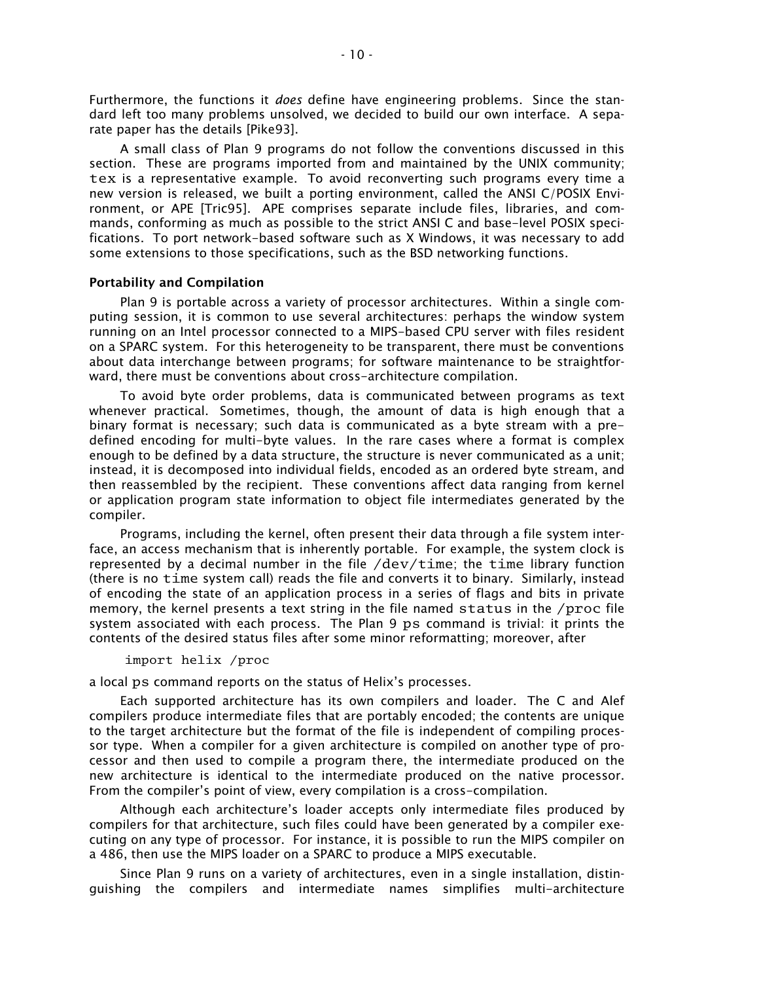Furthermore, the functions it *does* define have engineering problems. Since the standard left too many problems unsolved, we decided to build our own interface. A separate paper has the details [Pike93].

A small class of Plan 9 programs do not follow the conventions discussed in this section. These are programs imported from and maintained by the UNIX community; tex is a representative example. To avoid reconverting such programs every time a new version is released, we built a porting environment, called the ANSI C/POSIX Environment, or APE [Tric95]. APE comprises separate include files, libraries, and commands, conforming as much as possible to the strict ANSI C and base-level POSIX specifications. To port network-based software such as X Windows, it was necessary to add some extensions to those specifications, such as the BSD networking functions.

## **Portability and Compilation**

Plan 9 is portable across a variety of processor architectures. Within a single computing session, it is common to use several architectures: perhaps the window system running on an Intel processor connected to a MIPS-based CPU server with files resident on a SPARC system. For this heterogeneity to be transparent, there must be conventions about data interchange between programs; for software maintenance to be straightforward, there must be conventions about cross-architecture compilation.

To avoid byte order problems, data is communicated between programs as text whenever practical. Sometimes, though, the amount of data is high enough that a binary format is necessary; such data is communicated as a byte stream with a predefined encoding for multi-byte values. In the rare cases where a format is complex enough to be defined by a data structure, the structure is never communicated as a unit; instead, it is decomposed into individual fields, encoded as an ordered byte stream, and then reassembled by the recipient. These conventions affect data ranging from kernel or application program state information to object file intermediates generated by the compiler.

Programs, including the kernel, often present their data through a file system interface, an access mechanism that is inherently portable. For example, the system clock is represented by a decimal number in the file  $/dev/time$ ; the time library function (there is no time system call) reads the file and converts it to binary. Similarly, instead of encoding the state of an application process in a series of flags and bits in private memory, the kernel presents a text string in the file named status in the /proc file system associated with each process. The Plan 9 ps command is trivial: it prints the contents of the desired status files after some minor reformatting; moreover, after

#### import helix /proc

a local ps command reports on the status of Helix's processes.

Each supported architecture has its own compilers and loader. The C and Alef compilers produce intermediate files that are portably encoded; the contents are unique to the target architecture but the format of the file is independent of compiling processor type. When a compiler for a given architecture is compiled on another type of processor and then used to compile a program there, the intermediate produced on the new architecture is identical to the intermediate produced on the native processor. From the compiler's point of view, every compilation is a cross-compilation.

Although each architecture's loader accepts only intermediate files produced by compilers for that architecture, such files could have been generated by a compiler executing on any type of processor. For instance, it is possible to run the MIPS compiler on a 486, then use the MIPS loader on a SPARC to produce a MIPS executable.

Since Plan 9 runs on a variety of architectures, even in a single installation, distinguishing the compilers and intermediate names simplifies multi-architecture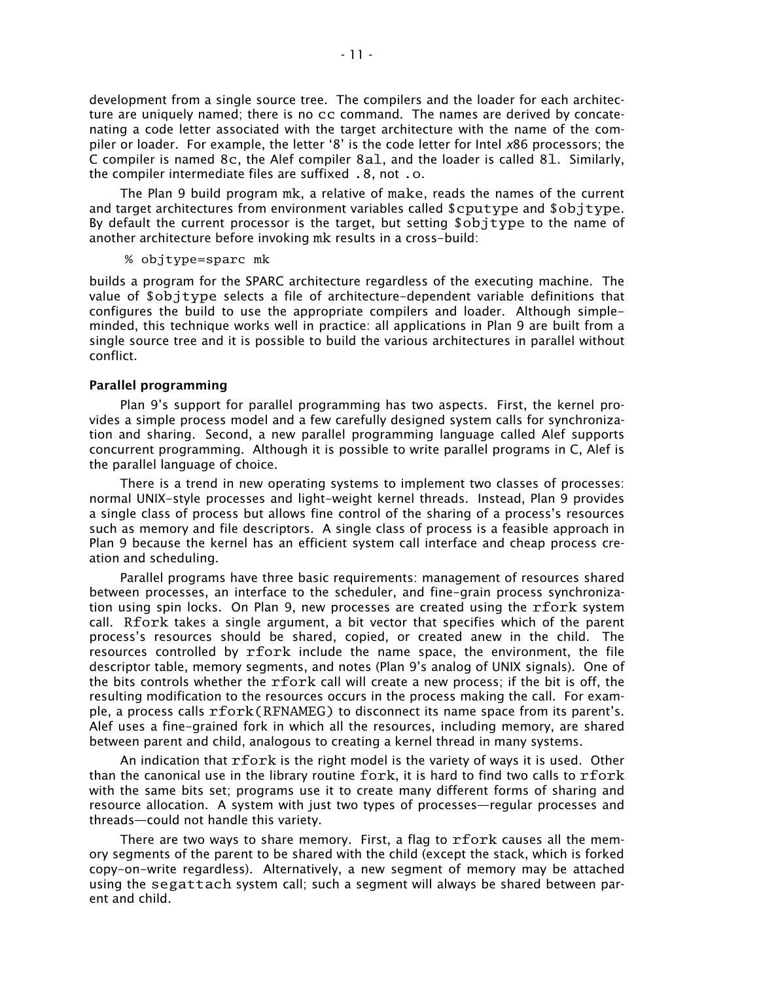development from a single source tree. The compilers and the loader for each architecture are uniquely named; there is no cc command. The names are derived by concatenating a code letter associated with the target architecture with the name of the compiler or loader. For example, the letter '8' is the code letter for Intel x86 processors; the C compiler is named 8c, the Alef compiler 8al, and the loader is called 8l. Similarly, the compiler intermediate files are suffixed .8, not .o.

The Plan 9 build program mk, a relative of make, reads the names of the current and target architectures from environment variables called \$cputype and \$objtype. By default the current processor is the target, but setting \$objtype to the name of another architecture before invoking mk results in a cross-build:

# % objtype=sparc mk

builds a program for the SPARC architecture regardless of the executing machine. The value of \$objtype selects a file of architecture-dependent variable definitions that configures the build to use the appropriate compilers and loader. Although simpleminded, this technique works well in practice: all applications in Plan 9 are built from a single source tree and it is possible to build the various architectures in parallel without conflict.

## **Parallel programming**

Plan 9's support for parallel programming has two aspects. First, the kernel provides a simple process model and a few carefully designed system calls for synchronization and sharing. Second, a new parallel programming language called Alef supports concurrent programming. Although it is possible to write parallel programs in C, Alef is the parallel language of choice.

There is a trend in new operating systems to implement two classes of processes: normal UNIX-style processes and light-weight kernel threads. Instead, Plan 9 provides a single class of process but allows fine control of the sharing of a process's resources such as memory and file descriptors. A single class of process is a feasible approach in Plan 9 because the kernel has an efficient system call interface and cheap process creation and scheduling.

Parallel programs have three basic requirements: management of resources shared between processes, an interface to the scheduler, and fine-grain process synchronization using spin locks. On Plan 9, new processes are created using the rfork system call. Rfork takes a single argument, a bit vector that specifies which of the parent process's resources should be shared, copied, or created anew in the child. The resources controlled by rfork include the name space, the environment, the file descriptor table, memory segments, and notes (Plan 9's analog of UNIX signals). One of the bits controls whether the rfork call will create a new process; if the bit is off, the resulting modification to the resources occurs in the process making the call. For example, a process calls  $rfork(RFNAMEG)$  to disconnect its name space from its parent's. Alef uses a fine-grained fork in which all the resources, including memory, are shared between parent and child, analogous to creating a kernel thread in many systems.

An indication that rfork is the right model is the variety of ways it is used. Other than the canonical use in the library routine fork, it is hard to find two calls to rfork with the same bits set; programs use it to create many different forms of sharing and resource allocation. A system with just two types of processes—regular processes and threads-could not handle this variety.

There are two ways to share memory. First, a flag to rfork causes all the memory segments of the parent to be shared with the child (except the stack, which is forked copy-on-write regardless). Alternatively, a new segment of memory may be attached using the segattach system call; such a segment will always be shared between parent and child.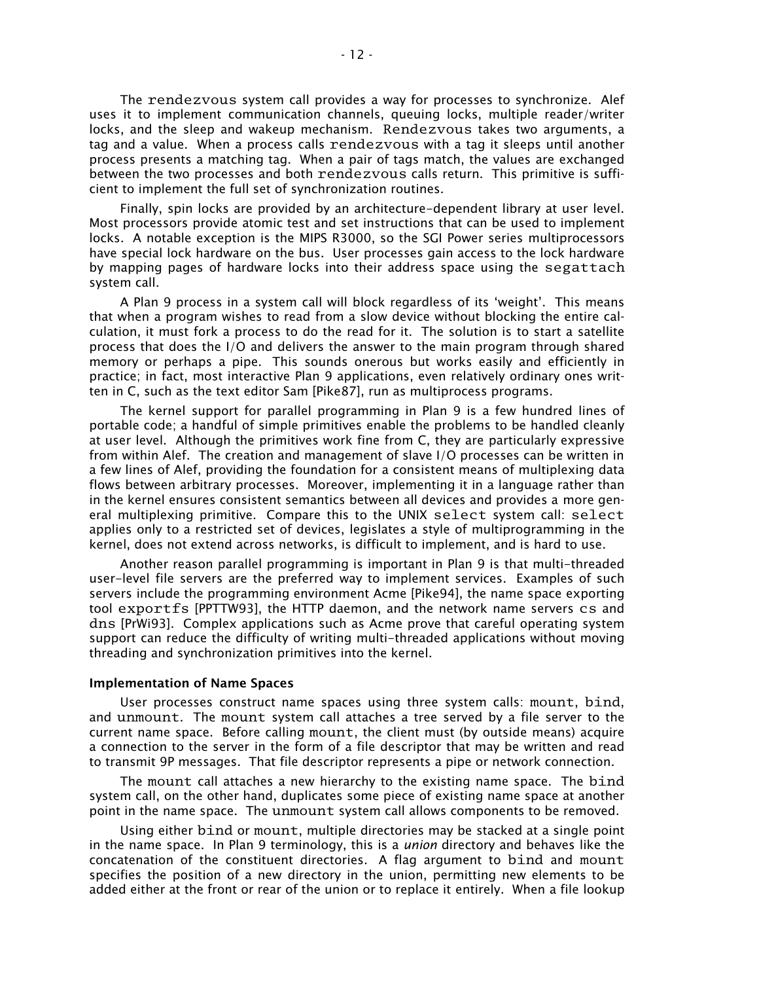The rendezvous system call provides a way for processes to synchronize. Alef uses it to implement communication channels, queuing locks, multiple reader/writer locks, and the sleep and wakeup mechanism. Rendezvous takes two arguments, a tag and a value. When a process calls rendezvous with a tag it sleeps until another process presents a matching tag. When a pair of tags match, the values are exchanged between the two processes and both rendezvous calls return. This primitive is sufficient to implement the full set of synchronization routines.

Finally, spin locks are provided by an architecture-dependent library at user level. Most processors provide atomic test and set instructions that can be used to implement locks. A notable exception is the MIPS R3000, so the SGI Power series multiprocessors have special lock hardware on the bus. User processes gain access to the lock hardware by mapping pages of hardware locks into their address space using the segattach system call.

A Plan 9 process in a system call will block regardless of its 'weight'. This means that when a program wishes to read from a slow device without blocking the entire calculation, it must fork a process to do the read for it. The solution is to start a satellite process that does the I/O and delivers the answer to the main program through shared memory or perhaps a pipe. This sounds onerous but works easily and efficiently in practice; in fact, most interactive Plan 9 applications, even relatively ordinary ones written in C, such as the text editor Sam [Pike87], run as multiprocess programs.

The kernel support for parallel programming in Plan 9 is a few hundred lines of portable code; a handful of simple primitives enable the problems to be handled cleanly at user level. Although the primitives work fine from C, they are particularly expressive from within Alef. The creation and management of slave I/O processes can be written in a few lines of Alef, providing the foundation for a consistent means of multiplexing data flows between arbitrary processes. Moreover, implementing it in a language rather than in the kernel ensures consistent semantics between all devices and provides a more general multiplexing primitive. Compare this to the UNIX select system call: select applies only to a restricted set of devices, legislates a style of multiprogramming in the kernel, does not extend across networks, is difficult to implement, and is hard to use.

Another reason parallel programming is important in Plan 9 is that multi-threaded user-level file servers are the preferred way to implement services. Examples of such servers include the programming environment Acme [Pike94], the name space exporting tool exportfs [PPTTW93], the HTTP daemon, and the network name servers cs and dns [PrWi93]. Complex applications such as Acme prove that careful operating system support can reduce the difficulty of writing multi-threaded applications without moving threading and synchronization primitives into the kernel.

#### **Implementation of Name Spaces**

User processes construct name spaces using three system calls: mount, bind, and unmount. The mount system call attaches a tree served by a file server to the current name space. Before calling mount, the client must (by outside means) acquire a connection to the server in the form of a file descriptor that may be written and read to transmit 9P messages. That file descriptor represents a pipe or network connection.

The mount call attaches a new hierarchy to the existing name space. The bind system call, on the other hand, duplicates some piece of existing name space at another point in the name space. The unmount system call allows components to be removed.

Using either bind or mount, multiple directories may be stacked at a single point in the name space. In Plan 9 terminology, this is a *union* directory and behaves like the concatenation of the constituent directories. A flag argument to bind and mount specifies the position of a new directory in the union, permitting new elements to be added either at the front or rear of the union or to replace it entirely. When a file lookup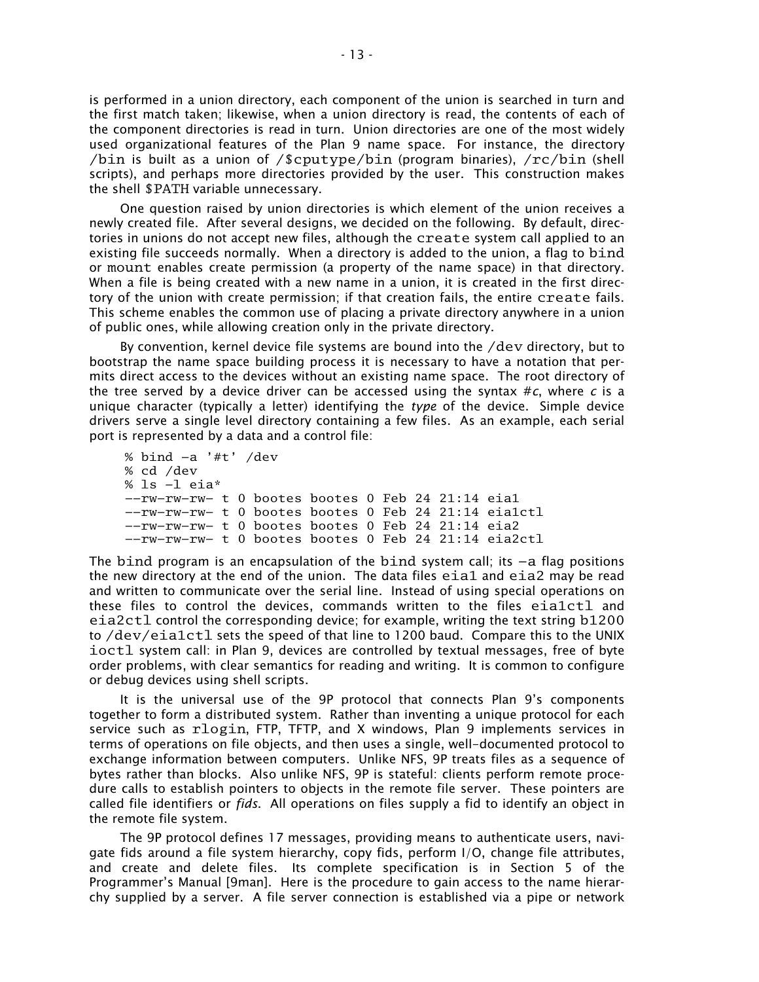is performed in a union directory, each component of the union is searched in turn and the first match taken; likewise, when a union directory is read, the contents of each of the component directories is read in turn. Union directories are one of the most widely used organizational features of the Plan 9 name space. For instance, the directory /bin is built as a union of /\$cputype/bin (program binaries), / $rc/b$ in (shell scripts), and perhaps more directories provided by the user. This construction makes the shell \$PATH variable unnecessary.

One question raised by union directories is which element of the union receives a newly created file. After several designs, we decided on the following. By default, directories in unions do not accept new files, although the create system call applied to an existing file succeeds normally. When a directory is added to the union, a flag to bind or mount enables create permission (a property of the name space) in that directory. When a file is being created with a new name in a union, it is created in the first directory of the union with create permission; if that creation fails, the entire create fails. This scheme enables the common use of placing a private directory anywhere in a union of public ones, while allowing creation only in the private directory.

By convention, kernel device file systems are bound into the /dev directory, but to bootstrap the name space building process it is necessary to have a notation that permits direct access to the devices without an existing name space. The root directory of the tree served by a device driver can be accessed using the syntax  $\#c$ , where *c* is a unique character (typically a letter) identifying the *type* of the device. Simple device drivers serve a single level directory containing a few files. As an example, each serial port is represented by a data and a control file:

```
% bind −a '#t' /dev
% cd /dev
% ls −l eia*
−−rw−rw−rw− t 0 bootes bootes 0 Feb 24 21:14 eia1
−−rw−rw−rw− t 0 bootes bootes 0 Feb 24 21:14 eia1ctl
−−rw−rw−rw− t 0 bootes bootes 0 Feb 24 21:14 eia2
−−rw−rw−rw− t 0 bootes bootes 0 Feb 24 21:14 eia2ctl
```
The bind program is an encapsulation of the bind system call; its −a flag positions the new directory at the end of the union. The data files eia1 and eia2 may be read and written to communicate over the serial line. Instead of using special operations on these files to control the devices, commands written to the files eia1ctl and eia2ctl control the corresponding device; for example, writing the text string b1200 to /dev/eia1ctl sets the speed of that line to 1200 baud. Compare this to the UNIX ioctl system call: in Plan 9, devices are controlled by textual messages, free of byte order problems, with clear semantics for reading and writing. It is common to configure or debug devices using shell scripts.

It is the universal use of the 9P protocol that connects Plan 9's components together to form a distributed system. Rather than inventing a unique protocol for each service such as rlogin, FTP, TFTP, and X windows, Plan 9 implements services in terms of operations on file objects, and then uses a single, well-documented protocol to exchange information between computers. Unlike NFS, 9P treats files as a sequence of bytes rather than blocks. Also unlike NFS, 9P is stateful: clients perform remote procedure calls to establish pointers to objects in the remote file server. These pointers are called file identifiers or *fids*. All operations on files supply a fid to identify an object in the remote file system.

The 9P protocol defines 17 messages, providing means to authenticate users, navigate fids around a file system hierarchy, copy fids, perform I/O, change file attributes, and create and delete files. Its complete specification is in Section 5 of the Programmer's Manual [9man]. Here is the procedure to gain access to the name hierarchy supplied by a server. A file server connection is established via a pipe or network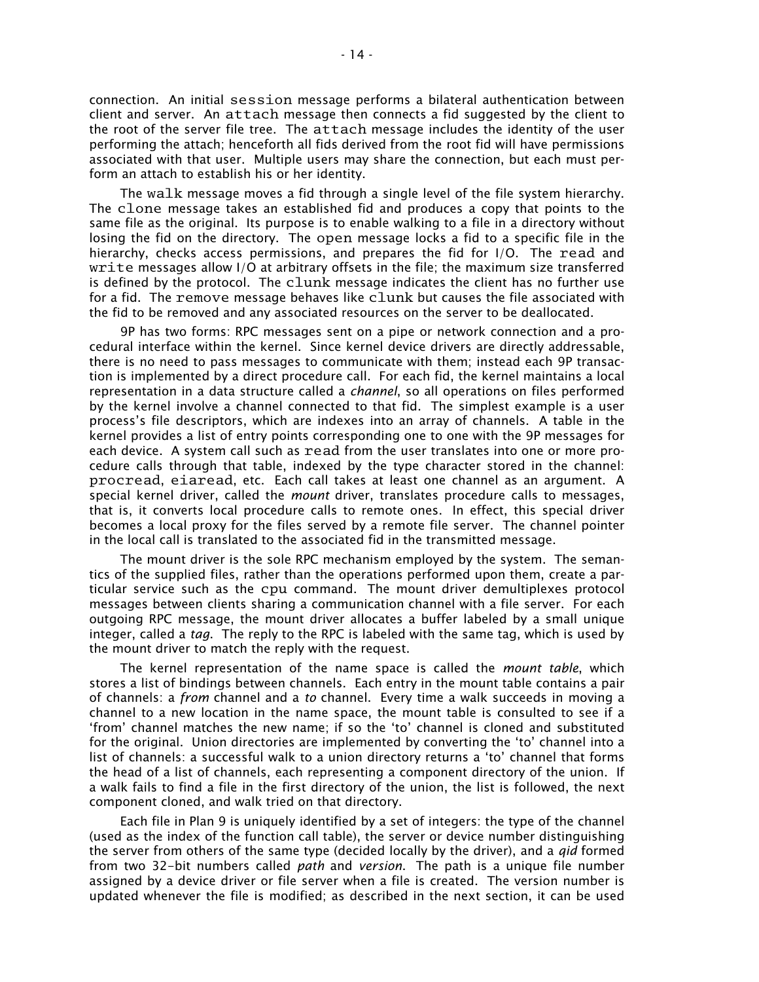connection. An initial session message performs a bilateral authentication between client and server. An attach message then connects a fid suggested by the client to the root of the server file tree. The attach message includes the identity of the user performing the attach; henceforth all fids derived from the root fid will have permissions associated with that user. Multiple users may share the connection, but each must perform an attach to establish his or her identity.

The walk message moves a fid through a single level of the file system hierarchy. The clone message takes an established fid and produces a copy that points to the same file as the original. Its purpose is to enable walking to a file in a directory without losing the fid on the directory. The open message locks a fid to a specific file in the hierarchy, checks access permissions, and prepares the fid for I/O. The read and write messages allow I/O at arbitrary offsets in the file; the maximum size transferred is defined by the protocol. The clunk message indicates the client has no further use for a fid. The remove message behaves like clunk but causes the file associated with the fid to be removed and any associated resources on the server to be deallocated.

9P has two forms: RPC messages sent on a pipe or network connection and a procedural interface within the kernel. Since kernel device drivers are directly addressable, there is no need to pass messages to communicate with them; instead each 9P transaction is implemented by a direct procedure call. For each fid, the kernel maintains a local representation in a data structure called a *channel*, so all operations on files performed by the kernel involve a channel connected to that fid. The simplest example is a user process's file descriptors, which are indexes into an array of channels. A table in the kernel provides a list of entry points corresponding one to one with the 9P messages for each device. A system call such as read from the user translates into one or more procedure calls through that table, indexed by the type character stored in the channel: procread, eiaread, etc. Each call takes at least one channel as an argument. A special kernel driver, called the *mount* driver, translates procedure calls to messages, that is, it converts local procedure calls to remote ones. In effect, this special driver becomes a local proxy for the files served by a remote file server. The channel pointer in the local call is translated to the associated fid in the transmitted message.

The mount driver is the sole RPC mechanism employed by the system. The semantics of the supplied files, rather than the operations performed upon them, create a particular service such as the cpu command. The mount driver demultiplexes protocol messages between clients sharing a communication channel with a file server. For each outgoing RPC message, the mount driver allocates a buffer labeled by a small unique integer, called a *tag*. The reply to the RPC is labeled with the same tag, which is used by the mount driver to match the reply with the request.

The kernel representation of the name space is called the *mount table*, which stores a list of bindings between channels. Each entry in the mount table contains a pair of channels: a *from* channel and a *to* channel. Every time a walk succeeds in moving a channel to a new location in the name space, the mount table is consulted to see if a from' channel matches the new name; if so the 'to' channel is cloned and substituted for the original. Union directories are implemented by converting the 'to' channel into a list of channels: a successful walk to a union directory returns a 'to' channel that forms the head of a list of channels, each representing a component directory of the union. If a walk fails to find a file in the first directory of the union, the list is followed, the next component cloned, and walk tried on that directory.

Each file in Plan 9 is uniquely identified by a set of integers: the type of the channel (used as the index of the function call table), the server or device number distinguishing the server from others of the same type (decided locally by the driver), and a *qid* formed from two 32-bit numbers called *path* and *version*. The path is a unique file number assigned by a device driver or file server when a file is created. The version number is updated whenever the file is modified; as described in the next section, it can be used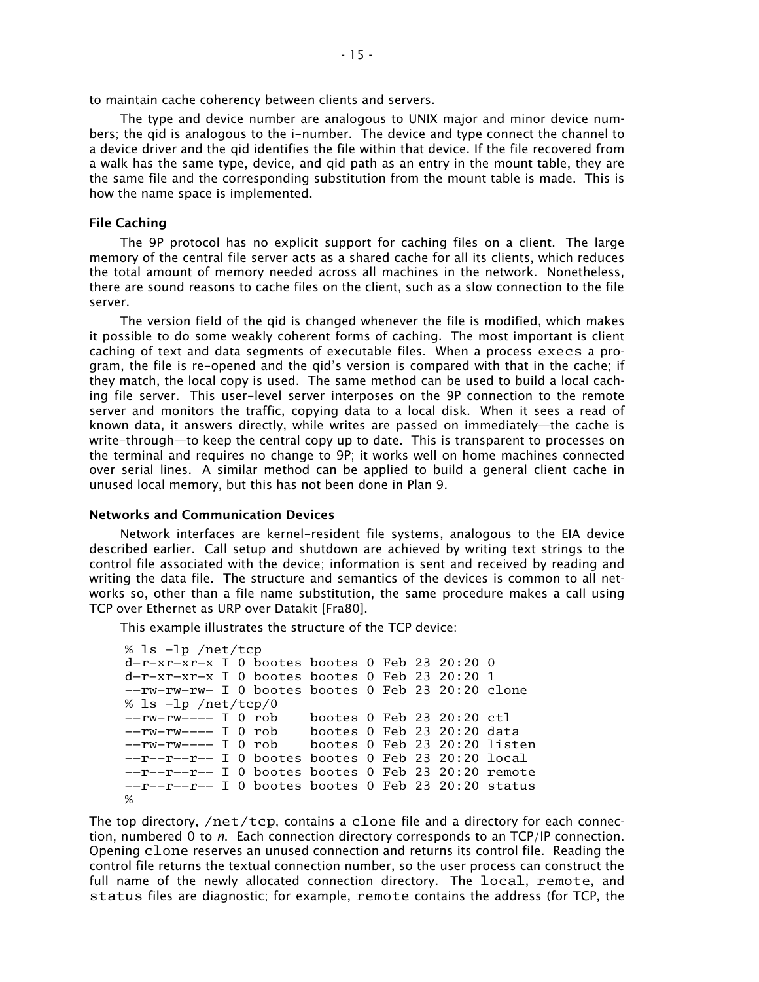to maintain cache coherency between clients and servers.

The type and device number are analogous to UNIX major and minor device numbers; the qid is analogous to the i-number. The device and type connect the channel to a device driver and the qid identifies the file within that device. If the file recovered from a walk has the same type, device, and qid path as an entry in the mount table, they are the same file and the corresponding substitution from the mount table is made. This is how the name space is implemented.

# **File Caching**

The 9P protocol has no explicit support for caching files on a client. The large memory of the central file server acts as a shared cache for all its clients, which reduces the total amount of memory needed across all machines in the network. Nonetheless, there are sound reasons to cache files on the client, such as a slow connection to the file server.

The version field of the qid is changed whenever the file is modified, which makes it possible to do some weakly coherent forms of caching. The most important is client caching of text and data segments of executable files. When a process execs a program, the file is re-opened and the gid's version is compared with that in the cache; if they match, the local copy is used. The same method can be used to build a local caching file server. This user-level server interposes on the 9P connection to the remote server and monitors the traffic, copying data to a local disk. When it sees a read of known data, it answers directly, while writes are passed on immediately—the cache is write-through-to keep the central copy up to date. This is transparent to processes on the terminal and requires no change to 9P; it works well on home machines connected over serial lines. A similar method can be applied to build a general client cache in unused local memory, but this has not been done in Plan 9.

## **Networks and Communication Devices**

Network interfaces are kernel-resident file systems, analogous to the EIA device described earlier. Call setup and shutdown are achieved by writing text strings to the control file associated with the device; information is sent and received by reading and writing the data file. The structure and semantics of the devices is common to all networks so, other than a file name substitution, the same procedure makes a call using TCP over Ethernet as URP over Datakit [Fra80].

This example illustrates the structure of the TCP device:

```
% ls −lp /net/tcp
d−r−xr−xr−x I 0 bootes bootes 0 Feb 23 20:20 0
d−r−xr−xr−x I 0 bootes bootes 0 Feb 23 20:20 1
−−rw−rw−rw− I 0 bootes bootes 0 Feb 23 20:20 clone
% ls −lp /net/tcp/0
−−rw−rw−−−− I 0 rob bootes 0 Feb 23 20:20 ctl
−−rw−rw−−−− I 0 rob bootes 0 Feb 23 20:20 data
                      bootes 0 Feb 23 20:20 listen
−−r−−r−−r−− I 0 bootes bootes 0 Feb 23 20:20 local
−−r−−r−−r−− I 0 bootes bootes 0 Feb 23 20:20 remote
−−r−−r−−r−− I 0 bootes bootes 0 Feb 23 20:20 status
%
```
The top directory, / $net/top$ , contains a clone file and a directory for each connection, numbered 0 to *n*. Each connection directory corresponds to an TCP/IP connection. Opening clone reserves an unused connection and returns its control file. Reading the control file returns the textual connection number, so the user process can construct the full name of the newly allocated connection directory. The local, remote, and status files are diagnostic; for example, remote contains the address (for TCP, the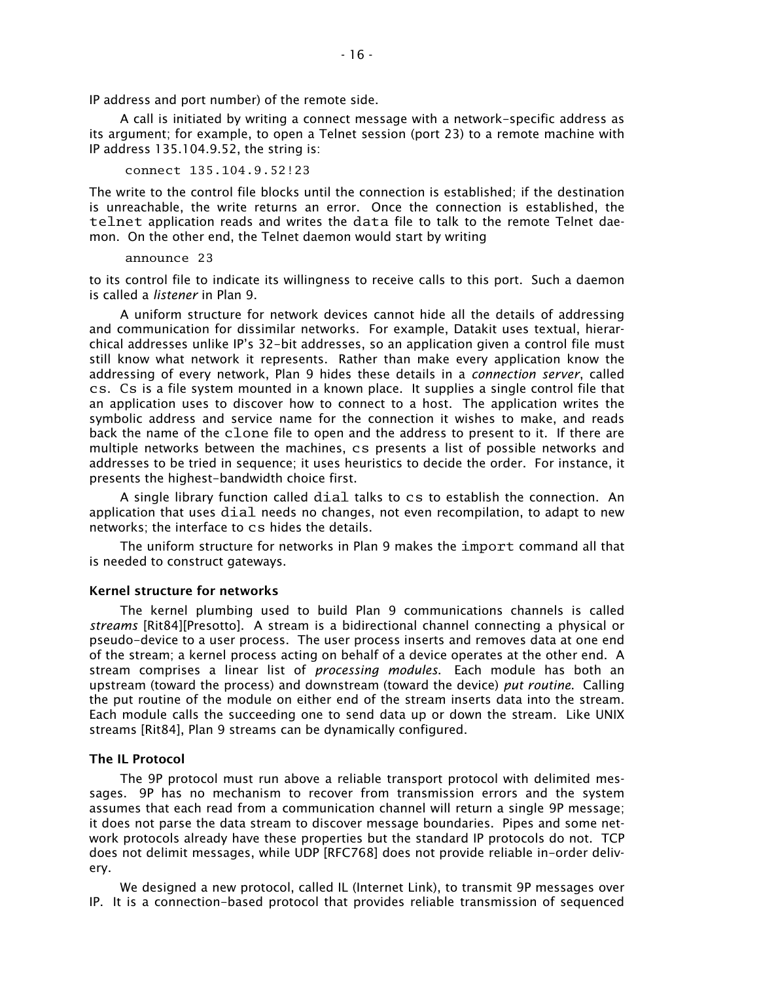IP address and port number) of the remote side.

A call is initiated by writing a connect message with a network-specific address as its argument; for example, to open a Telnet session (port 23) to a remote machine with IP address 135.104.9.52, the string is:

connect 135.104.9.52!23

The write to the control file blocks until the connection is established; if the destination is unreachable, the write returns an error. Once the connection is established, the telnet application reads and writes the data file to talk to the remote Telnet daemon. On the other end, the Telnet daemon would start by writing

announce 23

to its control file to indicate its willingness to receive calls to this port. Such a daemon is called a *listener* in Plan 9.

A uniform structure for network devices cannot hide all the details of addressing and communication for dissimilar networks. For example, Datakit uses textual, hierarchical addresses unlike IP's 32-bit addresses, so an application given a control file must still know what network it represents. Rather than make every application know the addressing of every network, Plan 9 hides these details in a *connection server*, called cs. Cs is a file system mounted in a known place. It supplies a single control file that an application uses to discover how to connect to a host. The application writes the symbolic address and service name for the connection it wishes to make, and reads back the name of the clone file to open and the address to present to it. If there are multiple networks between the machines, cs presents a list of possible networks and addresses to be tried in sequence; it uses heuristics to decide the order. For instance, it presents the highest-bandwidth choice first.

A single library function called dial talks to cs to establish the connection. An application that uses dial needs no changes, not even recompilation, to adapt to new networks; the interface to cs hides the details.

The uniform structure for networks in Plan 9 makes the import command all that is needed to construct gateways.

#### **Kernel structure for networks**

The kernel plumbing used to build Plan 9 communications channels is called *streams* [Rit84][Presotto]. A stream is a bidirectional channel connecting a physical or pseudo-device to a user process. The user process inserts and removes data at one end of the stream; a kernel process acting on behalf of a device operates at the other end. A stream comprises a linear list of *processing modules*. Each module has both an upstream (toward the process) and downstream (toward the device) *put routine*. Calling the put routine of the module on either end of the stream inserts data into the stream. Each module calls the succeeding one to send data up or down the stream. Like UNIX streams [Rit84], Plan 9 streams can be dynamically configured.

## **The IL Protocol**

The 9P protocol must run above a reliable transport protocol with delimited messages. 9P has no mechanism to recover from transmission errors and the system assumes that each read from a communication channel will return a single 9P message; it does not parse the data stream to discover message boundaries. Pipes and some network protocols already have these properties but the standard IP protocols do not. TCP does not delimit messages, while UDP [RFC768] does not provide reliable in-order delivery.

We designed a new protocol, called IL (Internet Link), to transmit 9P messages over IP. It is a connection-based protocol that provides reliable transmission of sequenced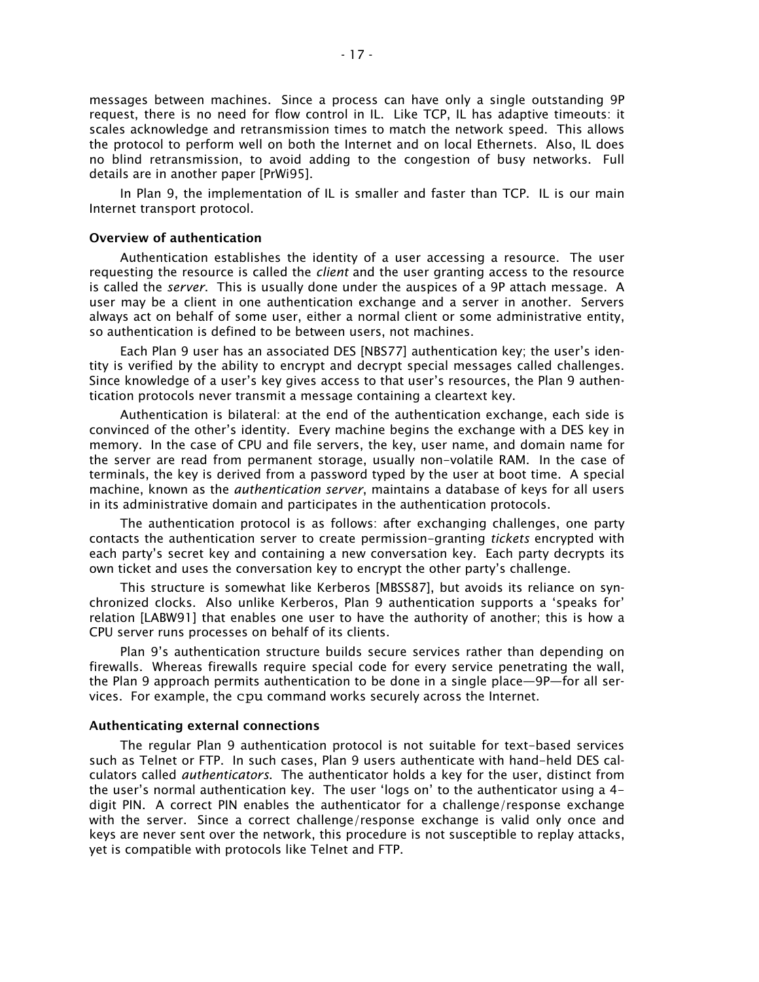messages between machines. Since a process can have only a single outstanding 9P request, there is no need for flow control in IL. Like TCP, IL has adaptive timeouts: it scales acknowledge and retransmission times to match the network speed. This allows the protocol to perform well on both the Internet and on local Ethernets. Also, IL does no blind retransmission, to avoid adding to the congestion of busy networks. Full details are in another paper [PrWi95].

In Plan 9, the implementation of IL is smaller and faster than TCP. IL is our main Internet transport protocol.

## **Overview of authentication**

Authentication establishes the identity of a user accessing a resource. The user requesting the resource is called the *client* and the user granting access to the resource is called the *server*. This is usually done under the auspices of a 9P attach message. A user may be a client in one authentication exchange and a server in another. Servers always act on behalf of some user, either a normal client or some administrative entity, so authentication is defined to be between users, not machines.

Each Plan 9 user has an associated DES [NBS77] authentication key; the user's identity is verified by the ability to encrypt and decrypt special messages called challenges. Since knowledge of a user's key gives access to that user's resources, the Plan 9 authentication protocols never transmit a message containing a cleartext key.

Authentication is bilateral: at the end of the authentication exchange, each side is convinced of the other's identity. Every machine begins the exchange with a DES key in memory. In the case of CPU and file servers, the key, user name, and domain name for the server are read from permanent storage, usually non-volatile RAM. In the case of terminals, the key is derived from a password typed by the user at boot time. A special machine, known as the *authentication server*, maintains a database of keys for all users in its administrative domain and participates in the authentication protocols.

The authentication protocol is as follows: after exchanging challenges, one party contacts the authentication server to create permission-granting *tickets* encrypted with each party's secret key and containing a new conversation key. Each party decrypts its own ticket and uses the conversation key to encrypt the other party's challenge.

This structure is somewhat like Kerberos [MBSS87], but avoids its reliance on synchronized clocks. Also unlike Kerberos, Plan 9 authentication supports a 'speaks for' relation [LABW91] that enables one user to have the authority of another; this is how a CPU server runs processes on behalf of its clients.

Plan 9's authentication structure builds secure services rather than depending on firewalls. Whereas firewalls require special code for every service penetrating the wall, the Plan 9 approach permits authentication to be done in a single place-9P-for all services. For example, the cpu command works securely across the Internet.

#### **Authenticating external connections**

The regular Plan 9 authentication protocol is not suitable for text-based services such as Telnet or FTP. In such cases, Plan 9 users authenticate with hand-held DES calculators called *authenticators*. The authenticator holds a key for the user, distinct from the user's normal authentication key. The user 'logs on' to the authenticator using a  $4$ digit PIN. A correct PIN enables the authenticator for a challenge/response exchange with the server. Since a correct challenge/response exchange is valid only once and keys are never sent over the network, this procedure is not susceptible to replay attacks, yet is compatible with protocols like Telnet and FTP.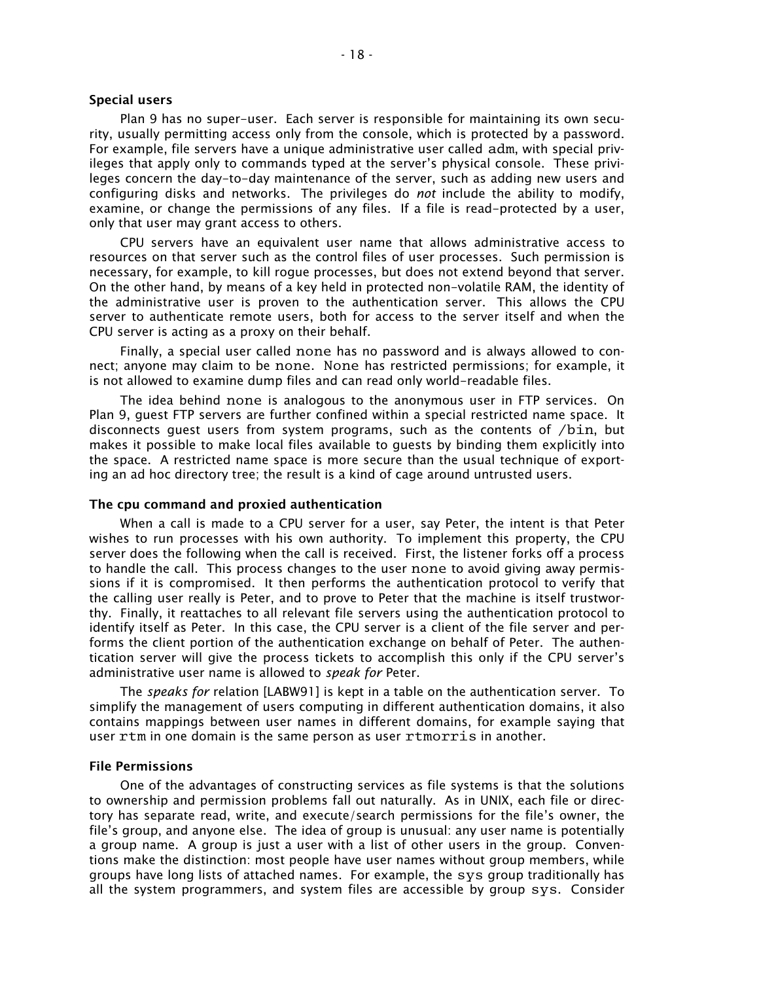# **Special users**

Plan 9 has no super-user. Each server is responsible for maintaining its own security, usually permitting access only from the console, which is protected by a password. For example, file servers have a unique administrative user called adm, with special privileges that apply only to commands typed at the server's physical console. These privileges concern the day-to-day maintenance of the server, such as adding new users and configuring disks and networks. The privileges do *not* include the ability to modify, examine, or change the permissions of any files. If a file is read-protected by a user, only that user may grant access to others.

CPU servers have an equivalent user name that allows administrative access to resources on that server such as the control files of user processes. Such permission is necessary, for example, to kill rogue processes, but does not extend beyond that server. On the other hand, by means of a key held in protected non-volatile RAM, the identity of the administrative user is proven to the authentication server. This allows the CPU server to authenticate remote users, both for access to the server itself and when the CPU server is acting as a proxy on their behalf.

Finally, a special user called none has no password and is always allowed to connect; anyone may claim to be none. None has restricted permissions; for example, it is not allowed to examine dump files and can read only world-readable files.

The idea behind none is analogous to the anonymous user in FTP services. On Plan 9, guest FTP servers are further confined within a special restricted name space. It disconnects guest users from system programs, such as the contents of /bin, but makes it possible to make local files available to guests by binding them explicitly into the space. A restricted name space is more secure than the usual technique of exporting an ad hoc directory tree; the result is a kind of cage around untrusted users.

## **The cpu command and proxied authentication**

When a call is made to a CPU server for a user, say Peter, the intent is that Peter wishes to run processes with his own authority. To implement this property, the CPU server does the following when the call is received. First, the listener forks off a process to handle the call. This process changes to the user none to avoid giving away permissions if it is compromised. It then performs the authentication protocol to verify that the calling user really is Peter, and to prove to Peter that the machine is itself trustworthy. Finally, it reattaches to all relevant file servers using the authentication protocol to identify itself as Peter. In this case, the CPU server is a client of the file server and performs the client portion of the authentication exchange on behalf of Peter. The authentication server will give the process tickets to accomplish this only if the CPU server's administrative user name is allowed to *speak for* Peter.

The *speaks for* relation [LABW91] is kept in a table on the authentication server. To simplify the management of users computing in different authentication domains, it also contains mappings between user names in different domains, for example saying that user rtm in one domain is the same person as user rtmorris in another.

#### **File Permissions**

One of the advantages of constructing services as file systems is that the solutions to ownership and permission problems fall out naturally. As in UNIX, each file or directory has separate read, write, and execute/search permissions for the file's owner, the file's group, and anyone else. The idea of group is unusual: any user name is potentially a group name. A group is just a user with a list of other users in the group. Conventions make the distinction: most people have user names without group members, while groups have long lists of attached names. For example, the sys group traditionally has all the system programmers, and system files are accessible by group sys. Consider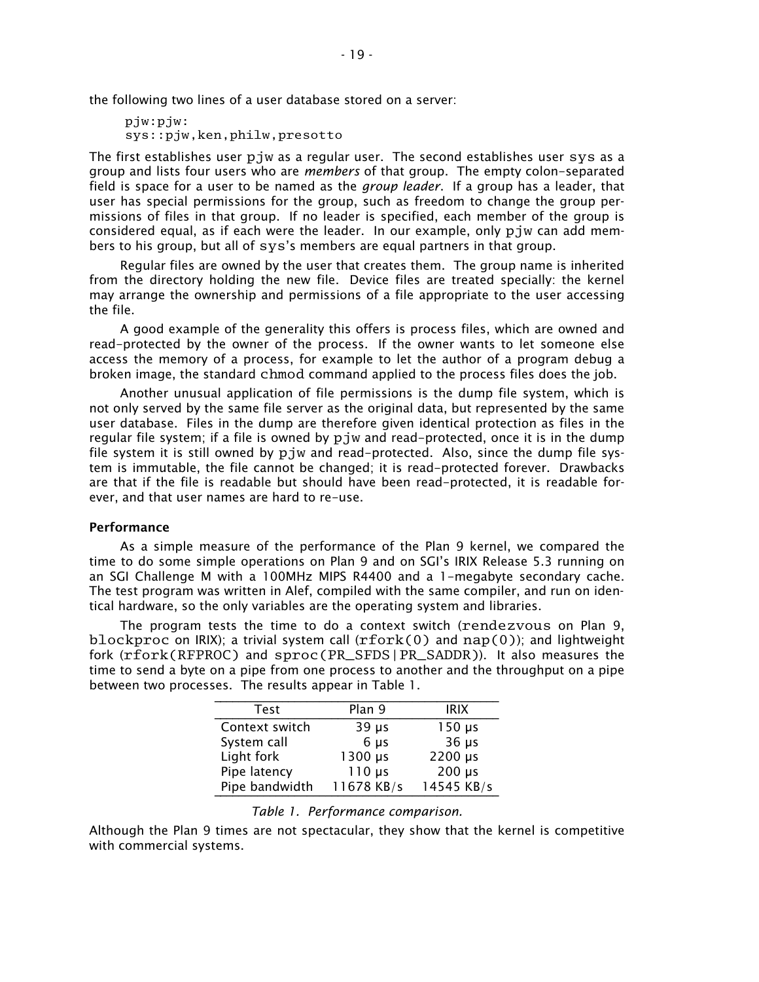the following two lines of a user database stored on a server:

pjw:pjw: sys::pjw,ken,philw,presotto

The first establishes user pjw as a regular user. The second establishes user sys as a group and lists four users who are *members* of that group. The empty colon-separated field is space for a user to be named as the *group leader*. If a group has a leader, that user has special permissions for the group, such as freedom to change the group permissions of files in that group. If no leader is specified, each member of the group is considered equal, as if each were the leader. In our example, only pjw can add members to his group, but all of sys's members are equal partners in that group.

Regular files are owned by the user that creates them. The group name is inherited from the directory holding the new file. Device files are treated specially: the kernel may arrange the ownership and permissions of a file appropriate to the user accessing the file.

A good example of the generality this offers is process files, which are owned and read-protected by the owner of the process. If the owner wants to let someone else access the memory of a process, for example to let the author of a program debug a broken image, the standard chmod command applied to the process files does the job.

Another unusual application of file permissions is the dump file system, which is not only served by the same file server as the original data, but represented by the same user database. Files in the dump are therefore given identical protection as files in the regular file system; if a file is owned by pjw and read-protected, once it is in the dump file system it is still owned by pjw and read-protected. Also, since the dump file system is immutable, the file cannot be changed; it is read-protected forever. Drawbacks are that if the file is readable but should have been read-protected, it is readable forever, and that user names are hard to re-use.

## **Performance**

As a simple measure of the performance of the Plan 9 kernel, we compared the time to do some simple operations on Plan 9 and on SGI's IRIX Release 5.3 running on an SGI Challenge M with a 100MHz MIPS R4400 and a 1-megabyte secondary cache. The test program was written in Alef, compiled with the same compiler, and run on identical hardware, so the only variables are the operating system and libraries.

The program tests the time to do a context switch (rendezvous on Plan 9, blockproc on IRIX); a trivial system call  $(rfork(0))$  and nap $(0)$ ); and lightweight fork (rfork(RFPROC) and sproc(PR\_SFDS|PR\_SADDR)). It also measures the time to send a byte on a pipe from one process to another and the throughput on a pipe between two processes. The results appear in Table 1.

| Test           | Plan 9          | <b>IRIX</b> |
|----------------|-----------------|-------------|
| Context switch | $39 \mu s$      | $150 \mu s$ |
| System call    | 6 <sub>µs</sub> | $36 \mu s$  |
| Light fork     | 1300 µs         | 2200 µs     |
| Pipe latency   | $110 \mu s$     | $200 \mu s$ |
| Pipe bandwidth | 11678 KB/s      | 14545 KB/s  |

Although the Plan 9 times are not spectacular, they show that the kernel is competitive with commercial systems.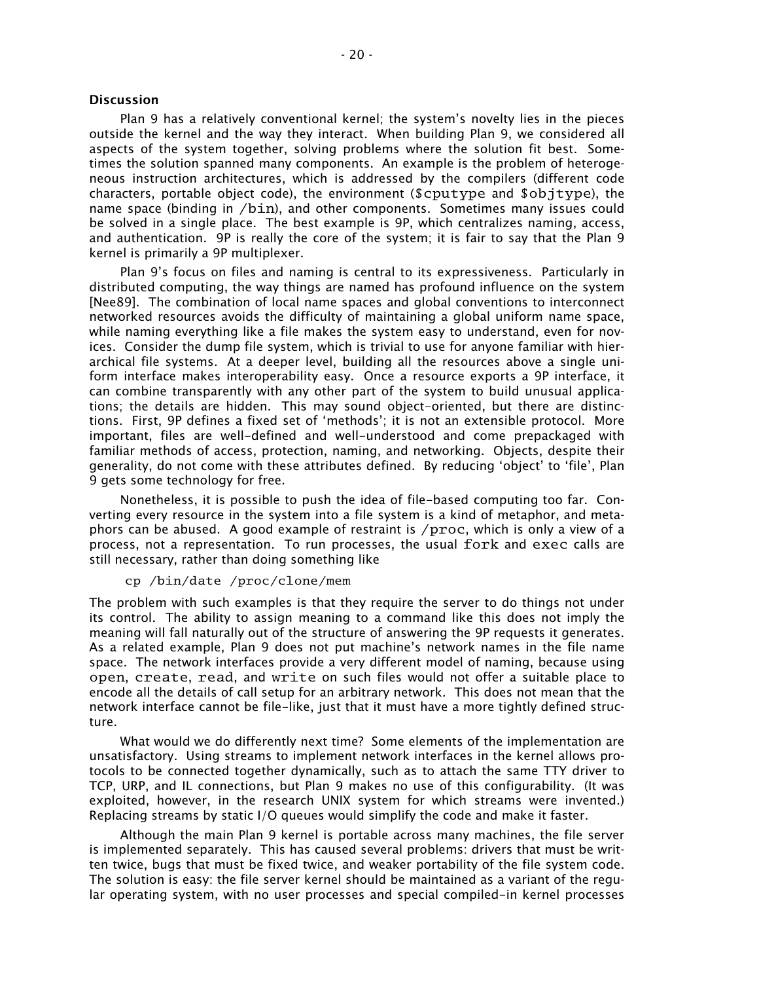# **Discussion**

Plan 9 has a relatively conventional kernel; the system's novelty lies in the pieces outside the kernel and the way they interact. When building Plan 9, we considered all aspects of the system together, solving problems where the solution fit best. Sometimes the solution spanned many components. An example is the problem of heterogeneous instruction architectures, which is addressed by the compilers (different code characters, portable object code), the environment (\$cputype and \$objtype), the name space (binding in /bin), and other components. Sometimes many issues could be solved in a single place. The best example is 9P, which centralizes naming, access, and authentication. 9P is really the core of the system; it is fair to say that the Plan 9 kernel is primarily a 9P multiplexer.

Plan 9's focus on files and naming is central to its expressiveness. Particularly in distributed computing, the way things are named has profound influence on the system [Nee89]. The combination of local name spaces and global conventions to interconnect networked resources avoids the difficulty of maintaining a global uniform name space, while naming everything like a file makes the system easy to understand, even for novices. Consider the dump file system, which is trivial to use for anyone familiar with hierarchical file systems. At a deeper level, building all the resources above a single uniform interface makes interoperability easy. Once a resource exports a 9P interface, it can combine transparently with any other part of the system to build unusual applications; the details are hidden. This may sound object-oriented, but there are distinctions. First, 9P defines a fixed set of methods; it is not an extensible protocol. More important, files are well-defined and well-understood and come prepackaged with familiar methods of access, protection, naming, and networking. Objects, despite their generality, do not come with these attributes defined. By reducing 'object' to 'file', Plan 9 gets some technology for free.

Nonetheless, it is possible to push the idea of file-based computing too far. Converting every resource in the system into a file system is a kind of metaphor, and metaphors can be abused. A good example of restraint is /proc, which is only a view of a process, not a representation. To run processes, the usual fork and exec calls are still necessary, rather than doing something like

# cp /bin/date /proc/clone/mem

The problem with such examples is that they require the server to do things not under its control. The ability to assign meaning to a command like this does not imply the meaning will fall naturally out of the structure of answering the 9P requests it generates. As a related example, Plan 9 does not put machine's network names in the file name space. The network interfaces provide a very different model of naming, because using open, create, read, and write on such files would not offer a suitable place to encode all the details of call setup for an arbitrary network. This does not mean that the network interface cannot be file-like, just that it must have a more tightly defined structure.

What would we do differently next time? Some elements of the implementation are unsatisfactory. Using streams to implement network interfaces in the kernel allows protocols to be connected together dynamically, such as to attach the same TTY driver to TCP, URP, and IL connections, but Plan 9 makes no use of this configurability. (It was exploited, however, in the research UNIX system for which streams were invented.) Replacing streams by static I/O queues would simplify the code and make it faster.

Although the main Plan 9 kernel is portable across many machines, the file server is implemented separately. This has caused several problems: drivers that must be written twice, bugs that must be fixed twice, and weaker portability of the file system code. The solution is easy: the file server kernel should be maintained as a variant of the regular operating system, with no user processes and special compiled-in kernel processes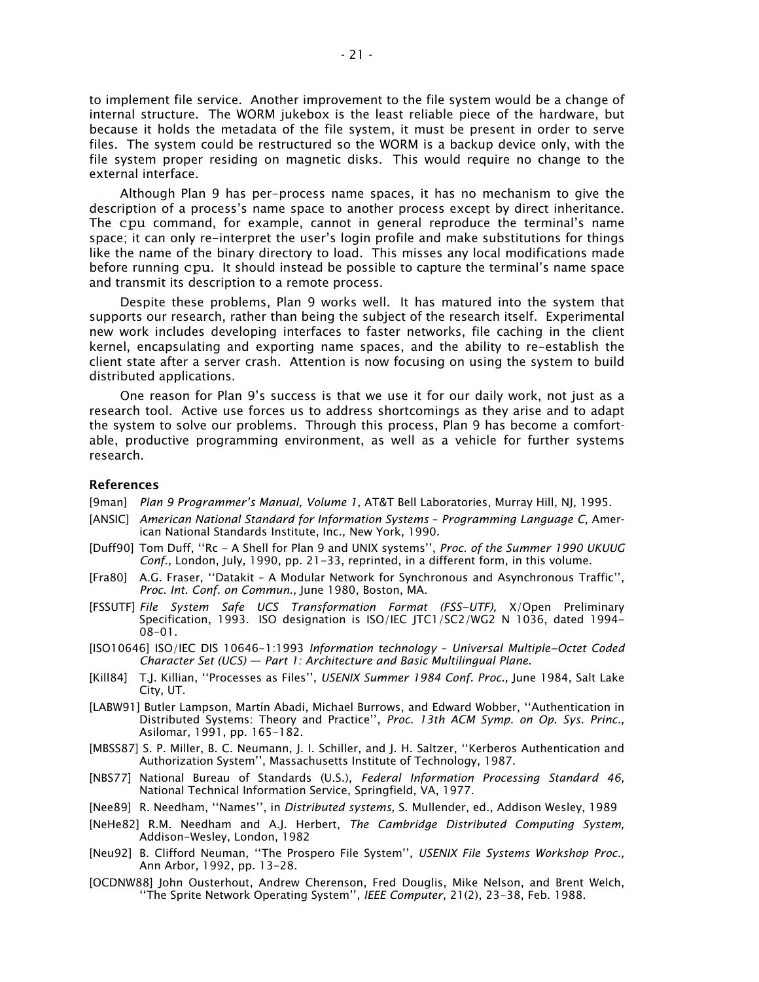to implement file service. Another improvement to the file system would be a change of internal structure. The WORM jukebox is the least reliable piece of the hardware, but because it holds the metadata of the file system, it must be present in order to serve files. The system could be restructured so the WORM is a backup device only, with the file system proper residing on magnetic disks. This would require no change to the external interface.

Although Plan 9 has per-process name spaces, it has no mechanism to give the description of a process's name space to another process except by direct inheritance. The cpu command, for example, cannot in general reproduce the terminal's name space; it can only re-interpret the user's login profile and make substitutions for things like the name of the binary directory to load. This misses any local modifications made before running cpu. It should instead be possible to capture the terminal's name space and transmit its description to a remote process.

Despite these problems, Plan 9 works well. It has matured into the system that supports our research, rather than being the subject of the research itself. Experimental new work includes developing interfaces to faster networks, file caching in the client kernel, encapsulating and exporting name spaces, and the ability to re-establish the client state after a server crash. Attention is now focusing on using the system to build distributed applications.

One reason for Plan 9's success is that we use it for our daily work, not just as a research tool. Active use forces us to address shortcomings as they arise and to adapt the system to solve our problems. Through this process, Plan 9 has become a comfortable, productive programming environment, as well as a vehicle for further systems research.

## **References**

- [9man] *Plan 9 Programmer's Manual, Volume 1,* AT&T Bell Laboratories, Murray Hill, NJ, 1995.
- [ANSIC] *American National Standard for Information Systems Programming Language C*, American National Standards Institute, Inc., New York, 1990.
- [Duff90] Tom Duff, "Rc A Shell for Plan 9 and UNIX systems", Proc. of the Summer 1990 UKUUG *Conf.,* London, July, 1990, pp. 21-33, reprinted, in a different form, in this volume.
- [Fra80] A.G. Fraser, "Datakit A Modular Network for Synchronous and Asynchronous Traffic", *Proc. Int. Conf. on Commun.,* June 1980, Boston, MA.
- [FSSUTF] *File System Safe UCS Transformation Format (FSS−UTF),* X/Open Preliminary Specification, 1993. ISO designation is ISO/IEC JTC1/SC2/WG2 N 1036, dated 1994- 08-01.
- [ISO10646] ISO/IEC DIS 10646-1:1993 *Information technology Universal Multiple−Octet Coded Character Set (UCS) Part 1: Architecture and Basic Multilingual Plane.*
- [Kill84] T.J. Killian, "Processes as Files", USENIX Summer 1984 Conf. Proc., June 1984, Salt Lake City, UT.
- [LABW91] Butler Lampson, Martín Abadi, Michael Burrows, and Edward Wobber, "Authentication in Distributed Systems: Theory and Practice, *Proc. 13th ACM Symp. on Op. Sys. Princ.,* Asilomar, 1991, pp. 165-182.
- [MBSS87] S. P. Miller, B. C. Neumann, J. I. Schiller, and J. H. Saltzer, "Kerberos Authentication and Authorization System", Massachusetts Institute of Technology, 1987.
- [NBS77] National Bureau of Standards (U.S.), *Federal Information Processing Standard 46,* National Technical Information Service, Springfield, VA, 1977.
- [Nee89] R. Needham, "Names", in *Distributed systems*, S. Mullender, ed., Addison Wesley, 1989
- [NeHe82] R.M. Needham and A.J. Herbert, *The Cambridge Distributed Computing System,* Addison-Wesley, London, 1982
- [Neu92] B. Clifford Neuman, "The Prospero File System", USENIX File Systems Workshop Proc., Ann Arbor, 1992, pp. 13-28.
- [OCDNW88] John Ousterhout, Andrew Cherenson, Fred Douglis, Mike Nelson, and Brent Welch, "The Sprite Network Operating System", IEEE Computer, 21(2), 23-38, Feb. 1988.